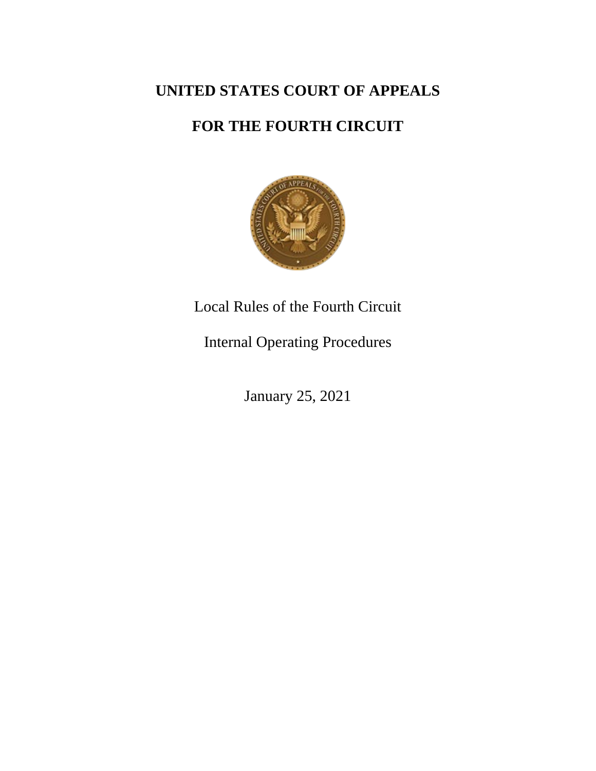# **UNITED STATES COURT OF APPEALS**

# **FOR THE FOURTH CIRCUIT**



Local Rules of the Fourth Circuit

Internal Operating Procedures

January 25, 2021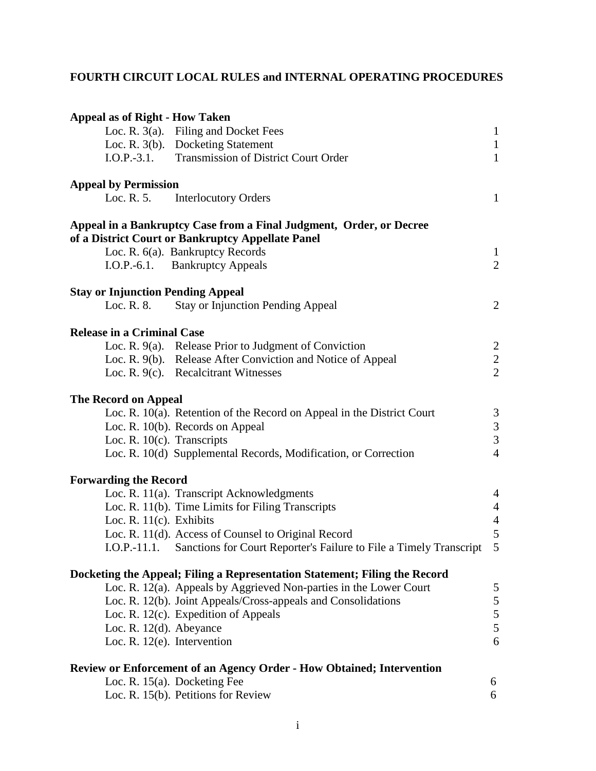## **FOURTH CIRCUIT LOCAL RULES and INTERNAL OPERATING PROCEDURES**

| <b>Appeal as of Right - How Taken</b>    |                                                                                       |                          |
|------------------------------------------|---------------------------------------------------------------------------------------|--------------------------|
|                                          | Loc. R. 3(a). Filing and Docket Fees                                                  | $\mathbf{1}$             |
|                                          | Loc. R. 3(b). Docketing Statement                                                     | $\mathbf{1}$             |
| $I.O.P.-3.1.$                            | <b>Transmission of District Court Order</b>                                           | $\mathbf{1}$             |
| <b>Appeal by Permission</b>              |                                                                                       |                          |
|                                          | Loc. R. 5. Interlocutory Orders                                                       | $\mathbf{1}$             |
|                                          | Appeal in a Bankruptcy Case from a Final Judgment, Order, or Decree                   |                          |
|                                          | of a District Court or Bankruptcy Appellate Panel<br>Loc. R. 6(a). Bankruptcy Records | $\mathbf{1}$             |
|                                          | I.O.P.-6.1. Bankruptcy Appeals                                                        | $\overline{c}$           |
|                                          |                                                                                       |                          |
| <b>Stay or Injunction Pending Appeal</b> |                                                                                       |                          |
| Loc. R. 8.                               | <b>Stay or Injunction Pending Appeal</b>                                              | $\overline{c}$           |
| <b>Release in a Criminal Case</b>        |                                                                                       |                          |
|                                          | Loc. R. 9(a). Release Prior to Judgment of Conviction                                 | $\overline{\mathbf{c}}$  |
|                                          | Loc. R. 9(b). Release After Conviction and Notice of Appeal                           | $\frac{2}{2}$            |
|                                          | Loc. R. 9(c). Recalcitrant Witnesses                                                  |                          |
| The Record on Appeal                     |                                                                                       |                          |
|                                          | Loc. R. 10(a). Retention of the Record on Appeal in the District Court                | 3                        |
|                                          | Loc. R. 10(b). Records on Appeal                                                      | $\frac{3}{3}$            |
| Loc. R. $10(c)$ . Transcripts            |                                                                                       |                          |
|                                          | Loc. R. 10(d) Supplemental Records, Modification, or Correction                       | $\overline{4}$           |
| <b>Forwarding the Record</b>             |                                                                                       |                          |
|                                          | Loc. R. 11(a). Transcript Acknowledgments                                             | $\overline{4}$           |
|                                          | Loc. R. 11(b). Time Limits for Filing Transcripts                                     | $\overline{\mathcal{A}}$ |
| Loc. R. $11(c)$ . Exhibits               |                                                                                       | $\overline{4}$           |
|                                          | Loc. R. 11(d). Access of Counsel to Original Record                                   | 5                        |
|                                          | I.O.P.-11.1. Sanctions for Court Reporter's Failure to File a Timely Transcript       | $\overline{5}$           |
|                                          | Docketing the Appeal; Filing a Representation Statement; Filing the Record            |                          |
|                                          | Loc. R. 12(a). Appeals by Aggrieved Non-parties in the Lower Court                    | 5                        |
|                                          | Loc. R. 12(b). Joint Appeals/Cross-appeals and Consolidations                         | 5                        |
|                                          | Loc. R. $12(c)$ . Expedition of Appeals                                               | 5                        |
| Loc. R. 12(d). Abeyance                  |                                                                                       | 5                        |
|                                          | Loc. R. 12(e). Intervention                                                           | 6                        |
|                                          | <b>Review or Enforcement of an Agency Order - How Obtained; Intervention</b>          |                          |
|                                          | Loc. R. 15(a). Docketing Fee                                                          | 6                        |
|                                          | Loc. R. 15(b). Petitions for Review                                                   | 6                        |
|                                          |                                                                                       |                          |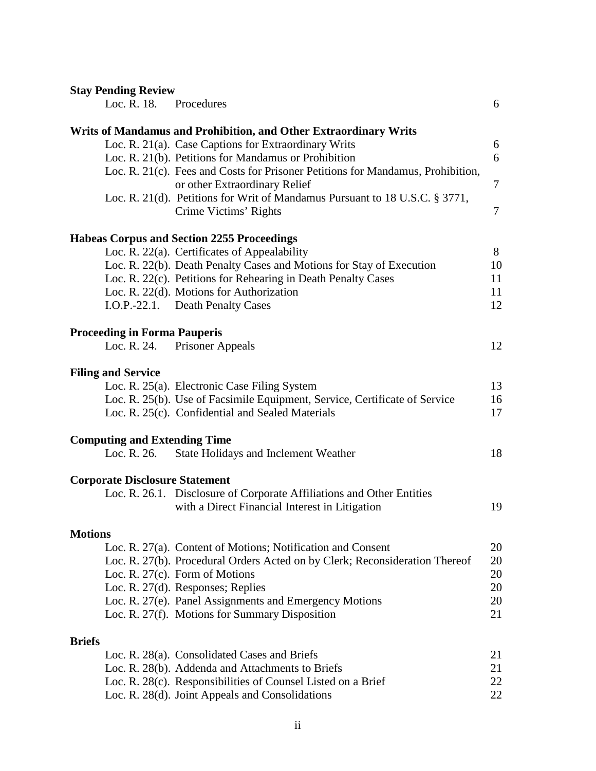| <b>Stay Pending Review</b>            |                                                                                                      |                |
|---------------------------------------|------------------------------------------------------------------------------------------------------|----------------|
| Loc. R. 18.                           | Procedures                                                                                           | 6              |
|                                       | Writs of Mandamus and Prohibition, and Other Extraordinary Writs                                     |                |
|                                       | Loc. R. 21(a). Case Captions for Extraordinary Writs                                                 | 6              |
|                                       | Loc. R. 21(b). Petitions for Mandamus or Prohibition                                                 | 6              |
|                                       | Loc. R. 21(c). Fees and Costs for Prisoner Petitions for Mandamus, Prohibition,                      |                |
|                                       | or other Extraordinary Relief                                                                        | $\tau$         |
|                                       |                                                                                                      |                |
|                                       | Loc. R. 21(d). Petitions for Writ of Mandamus Pursuant to 18 U.S.C. § 3771,<br>Crime Victims' Rights | $\overline{7}$ |
|                                       | <b>Habeas Corpus and Section 2255 Proceedings</b>                                                    |                |
|                                       | Loc. R. 22(a). Certificates of Appealability                                                         | 8              |
|                                       | Loc. R. 22(b). Death Penalty Cases and Motions for Stay of Execution                                 | 10             |
|                                       | Loc. R. 22(c). Petitions for Rehearing in Death Penalty Cases                                        | 11             |
|                                       | Loc. R. 22(d). Motions for Authorization                                                             | 11             |
|                                       | I.O.P.-22.1. Death Penalty Cases                                                                     | 12             |
|                                       |                                                                                                      |                |
| <b>Proceeding in Forma Pauperis</b>   |                                                                                                      |                |
| Loc. R. 24.                           | <b>Prisoner Appeals</b>                                                                              | 12             |
| <b>Filing and Service</b>             |                                                                                                      |                |
|                                       | Loc. R. 25(a). Electronic Case Filing System                                                         | 13             |
|                                       | Loc. R. 25(b). Use of Facsimile Equipment, Service, Certificate of Service                           | 16             |
|                                       | Loc. R. 25(c). Confidential and Sealed Materials                                                     | 17             |
| <b>Computing and Extending Time</b>   |                                                                                                      |                |
| Loc. R. 26.                           | State Holidays and Inclement Weather                                                                 | 18             |
| <b>Corporate Disclosure Statement</b> |                                                                                                      |                |
|                                       | Loc. R. 26.1. Disclosure of Corporate Affiliations and Other Entities                                |                |
|                                       | with a Direct Financial Interest in Litigation                                                       | 19             |
|                                       |                                                                                                      |                |
| <b>Motions</b>                        |                                                                                                      |                |
|                                       | Loc. R. 27(a). Content of Motions; Notification and Consent                                          | 20             |
|                                       | Loc. R. 27(b). Procedural Orders Acted on by Clerk; Reconsideration Thereof                          | 20             |
|                                       | Loc. R. $27(c)$ . Form of Motions                                                                    | 20             |
|                                       | Loc. R. 27(d). Responses; Replies                                                                    | 20             |
|                                       | Loc. R. 27(e). Panel Assignments and Emergency Motions                                               | 20             |
|                                       | Loc. R. 27(f). Motions for Summary Disposition                                                       | 21             |
| <b>Briefs</b>                         |                                                                                                      |                |
|                                       | Loc. R. 28(a). Consolidated Cases and Briefs                                                         | 21             |
|                                       | Loc. R. 28(b). Addenda and Attachments to Briefs                                                     | 21             |
|                                       | Loc. R. 28(c). Responsibilities of Counsel Listed on a Brief                                         | 22             |
|                                       | Loc. R. 28(d). Joint Appeals and Consolidations                                                      | 22             |
|                                       |                                                                                                      |                |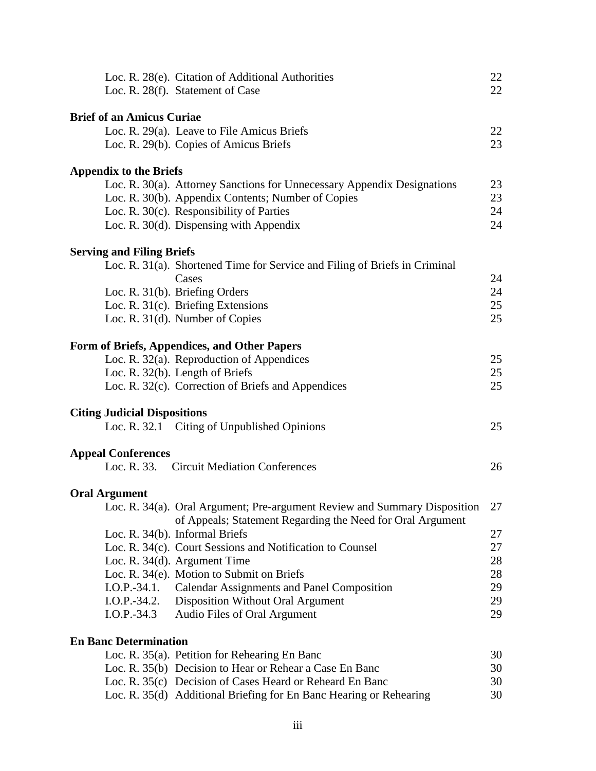|                                     | Loc. R. 28(e). Citation of Additional Authorities                                   | 22 |
|-------------------------------------|-------------------------------------------------------------------------------------|----|
|                                     | Loc. R. 28(f). Statement of Case                                                    | 22 |
| <b>Brief of an Amicus Curiae</b>    |                                                                                     |    |
|                                     | Loc. R. 29(a). Leave to File Amicus Briefs                                          | 22 |
|                                     | Loc. R. 29(b). Copies of Amicus Briefs                                              | 23 |
| <b>Appendix to the Briefs</b>       |                                                                                     |    |
|                                     | Loc. R. 30(a). Attorney Sanctions for Unnecessary Appendix Designations             | 23 |
|                                     | Loc. R. 30(b). Appendix Contents; Number of Copies                                  | 23 |
|                                     | Loc. R. $30(c)$ . Responsibility of Parties                                         | 24 |
|                                     | Loc. R. $30(d)$ . Dispensing with Appendix                                          | 24 |
| <b>Serving and Filing Briefs</b>    |                                                                                     |    |
|                                     | Loc. R. 31(a). Shortened Time for Service and Filing of Briefs in Criminal<br>Cases | 24 |
|                                     | Loc. R. 31(b). Briefing Orders                                                      | 24 |
|                                     | Loc. R. $31(c)$ . Briefing Extensions                                               | 25 |
|                                     | Loc. R. 31(d). Number of Copies                                                     | 25 |
|                                     | Form of Briefs, Appendices, and Other Papers                                        |    |
|                                     | Loc. R. 32(a). Reproduction of Appendices                                           | 25 |
|                                     | Loc. R. $32(b)$ . Length of Briefs                                                  | 25 |
|                                     | Loc. R. 32(c). Correction of Briefs and Appendices                                  | 25 |
| <b>Citing Judicial Dispositions</b> |                                                                                     |    |
|                                     | Loc. R. 32.1 Citing of Unpublished Opinions                                         | 25 |
| <b>Appeal Conferences</b>           |                                                                                     |    |
|                                     | Loc. R. 33. Circuit Mediation Conferences                                           | 26 |
| <b>Oral Argument</b>                |                                                                                     |    |
|                                     | Loc. R. 34(a). Oral Argument; Pre-argument Review and Summary Disposition           | 27 |
|                                     | of Appeals; Statement Regarding the Need for Oral Argument                          |    |
|                                     | Loc. R. 34(b). Informal Briefs                                                      | 27 |
|                                     | Loc. R. 34(c). Court Sessions and Notification to Counsel                           | 27 |
|                                     | Loc. R. 34(d). Argument Time                                                        | 28 |
|                                     | Loc. R. 34(e). Motion to Submit on Briefs                                           | 28 |
| $I.O.P.-34.1.$                      | Calendar Assignments and Panel Composition                                          | 29 |
| $I.O.P.-34.2.$                      | <b>Disposition Without Oral Argument</b>                                            | 29 |
| $I.O.P.-34.3$                       | Audio Files of Oral Argument                                                        | 29 |
| <b>En Banc Determination</b>        |                                                                                     |    |
|                                     | Loc. R. 35(a). Petition for Rehearing En Banc                                       | 30 |
|                                     | Loc. R. 35(b) Decision to Hear or Rehear a Case En Banc                             | 30 |
|                                     | Loc. R. 35(c) Decision of Cases Heard or Reheard En Banc                            | 30 |
|                                     | Loc. R. 35(d) Additional Briefing for En Banc Hearing or Rehearing                  | 30 |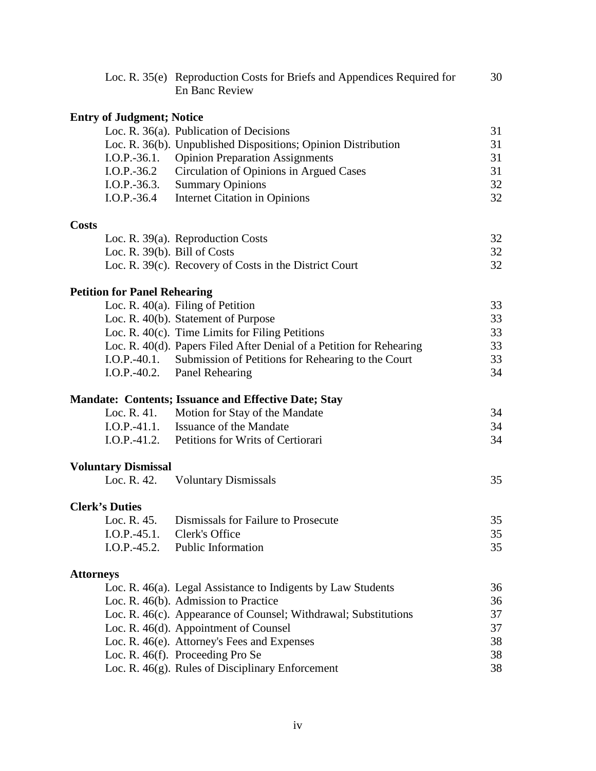|                  |                                     | Loc. R. 35(e) Reproduction Costs for Briefs and Appendices Required for<br><b>En Banc Review</b> | 30 |
|------------------|-------------------------------------|--------------------------------------------------------------------------------------------------|----|
|                  | <b>Entry of Judgment; Notice</b>    |                                                                                                  |    |
|                  |                                     | Loc. R. 36(a). Publication of Decisions                                                          | 31 |
|                  |                                     | Loc. R. 36(b). Unpublished Dispositions; Opinion Distribution                                    | 31 |
|                  | $I.O.P.-36.1.$                      | <b>Opinion Preparation Assignments</b>                                                           | 31 |
|                  | $I.O.P.-36.2$                       | Circulation of Opinions in Argued Cases                                                          | 31 |
|                  | $I.O.P.-36.3.$                      | <b>Summary Opinions</b>                                                                          | 32 |
|                  | $I.O.P.-36.4$                       | <b>Internet Citation in Opinions</b>                                                             | 32 |
| <b>Costs</b>     |                                     |                                                                                                  |    |
|                  |                                     | Loc. R. 39(a). Reproduction Costs                                                                | 32 |
|                  | Loc. R. 39(b). Bill of Costs        |                                                                                                  | 32 |
|                  |                                     | Loc. R. 39(c). Recovery of Costs in the District Court                                           | 32 |
|                  | <b>Petition for Panel Rehearing</b> |                                                                                                  |    |
|                  |                                     | Loc. R. 40(a). Filing of Petition                                                                | 33 |
|                  |                                     | Loc. R. 40(b). Statement of Purpose                                                              | 33 |
|                  |                                     | Loc. R. $40(c)$ . Time Limits for Filing Petitions                                               | 33 |
|                  |                                     | Loc. R. 40(d). Papers Filed After Denial of a Petition for Rehearing                             | 33 |
|                  |                                     | I.O.P.-40.1. Submission of Petitions for Rehearing to the Court                                  | 33 |
|                  |                                     | I.O.P.-40.2. Panel Rehearing                                                                     | 34 |
|                  |                                     | <b>Mandate: Contents; Issuance and Effective Date; Stay</b>                                      |    |
|                  | Loc. R. 41.                         | Motion for Stay of the Mandate                                                                   | 34 |
|                  |                                     | I.O.P.-41.1. Issuance of the Mandate                                                             | 34 |
|                  |                                     | I.O.P.-41.2. Petitions for Writs of Certiorari                                                   | 34 |
|                  | <b>Voluntary Dismissal</b>          |                                                                                                  |    |
|                  | Loc. R. 42.                         | <b>Voluntary Dismissals</b>                                                                      | 35 |
|                  | <b>Clerk's Duties</b>               |                                                                                                  |    |
|                  | Loc. R. 45.                         | Dismissals for Failure to Prosecute                                                              | 35 |
|                  | $I.O.P.-45.1.$                      | Clerk's Office                                                                                   | 35 |
|                  | $I.O.P.-45.2.$                      | <b>Public Information</b>                                                                        | 35 |
| <b>Attorneys</b> |                                     |                                                                                                  |    |
|                  |                                     | Loc. R. 46(a). Legal Assistance to Indigents by Law Students                                     | 36 |
|                  |                                     | Loc. R. 46(b). Admission to Practice                                                             | 36 |
|                  |                                     | Loc. R. 46(c). Appearance of Counsel; Withdrawal; Substitutions                                  | 37 |
|                  |                                     | Loc. R. 46(d). Appointment of Counsel                                                            | 37 |
|                  |                                     | Loc. R. 46(e). Attorney's Fees and Expenses                                                      | 38 |
|                  |                                     | Loc. R. 46(f). Proceeding Pro Se                                                                 | 38 |
|                  |                                     | Loc. R. $46(g)$ . Rules of Disciplinary Enforcement                                              | 38 |
|                  |                                     |                                                                                                  |    |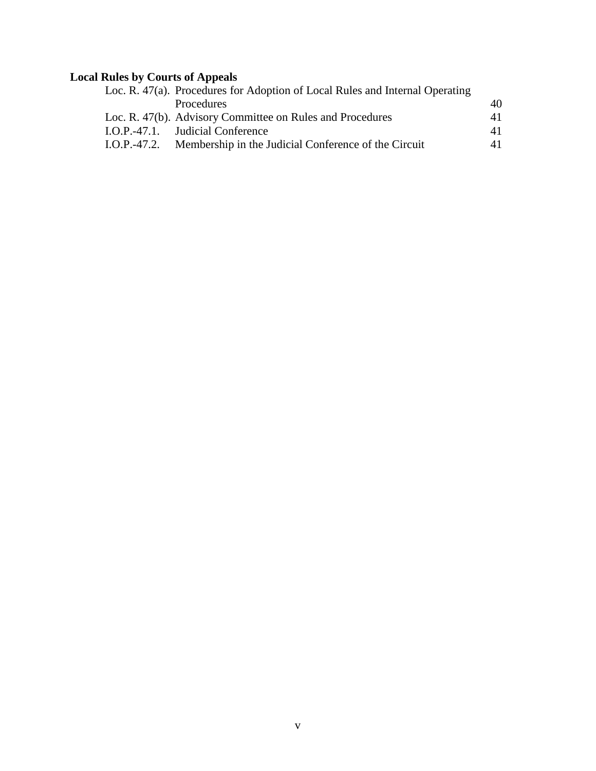## **Local Rules by Courts of Appeals**

|                | Loc. R. 47(a). Procedures for Adoption of Local Rules and Internal Operating |    |
|----------------|------------------------------------------------------------------------------|----|
|                | Procedures                                                                   | 40 |
|                | Loc. R. 47(b). Advisory Committee on Rules and Procedures                    | 41 |
|                | I.O.P.-47.1. Judicial Conference                                             | 41 |
| $I.O.P.-47.2.$ | Membership in the Judicial Conference of the Circuit                         | 41 |
|                |                                                                              |    |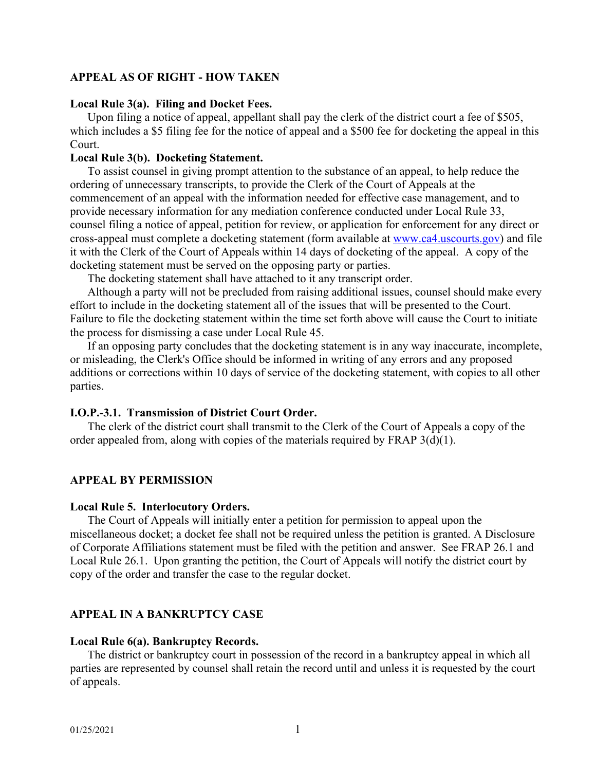### **APPEAL AS OF RIGHT - HOW TAKEN**

#### **Local Rule 3(a). Filing and Docket Fees.**

Upon filing a notice of appeal, appellant shall pay the clerk of the district court a fee of \$505, which includes a \$5 filing fee for the notice of appeal and a \$500 fee for docketing the appeal in this Court.

### **Local Rule 3(b). Docketing Statement.**

To assist counsel in giving prompt attention to the substance of an appeal, to help reduce the ordering of unnecessary transcripts, to provide the Clerk of the Court of Appeals at the commencement of an appeal with the information needed for effective case management, and to provide necessary information for any mediation conference conducted under Local Rule 33, counsel filing a notice of appeal, petition for review, or application for enforcement for any direct or cross-appeal must complete a docketing statement (form available at [www.ca4.uscourts.gov\)](http://www.ca4.uscourts.gov/) and file it with the Clerk of the Court of Appeals within 14 days of docketing of the appeal. A copy of the docketing statement must be served on the opposing party or parties.

The docketing statement shall have attached to it any transcript order.

Although a party will not be precluded from raising additional issues, counsel should make every effort to include in the docketing statement all of the issues that will be presented to the Court. Failure to file the docketing statement within the time set forth above will cause the Court to initiate the process for dismissing a case under Local Rule 45.

If an opposing party concludes that the docketing statement is in any way inaccurate, incomplete, or misleading, the Clerk's Office should be informed in writing of any errors and any proposed additions or corrections within 10 days of service of the docketing statement, with copies to all other parties.

### **I.O.P.-3.1. Transmission of District Court Order.**

The clerk of the district court shall transmit to the Clerk of the Court of Appeals a copy of the order appealed from, along with copies of the materials required by FRAP 3(d)(1).

#### **APPEAL BY PERMISSION**

#### **Local Rule 5. Interlocutory Orders.**

The Court of Appeals will initially enter a petition for permission to appeal upon the miscellaneous docket; a docket fee shall not be required unless the petition is granted. A Disclosure of Corporate Affiliations statement must be filed with the petition and answer. See FRAP 26.1 and Local Rule 26.1. Upon granting the petition, the Court of Appeals will notify the district court by copy of the order and transfer the case to the regular docket.

#### **APPEAL IN A BANKRUPTCY CASE**

#### **Local Rule 6(a). Bankruptcy Records.**

The district or bankruptcy court in possession of the record in a bankruptcy appeal in which all parties are represented by counsel shall retain the record until and unless it is requested by the court of appeals.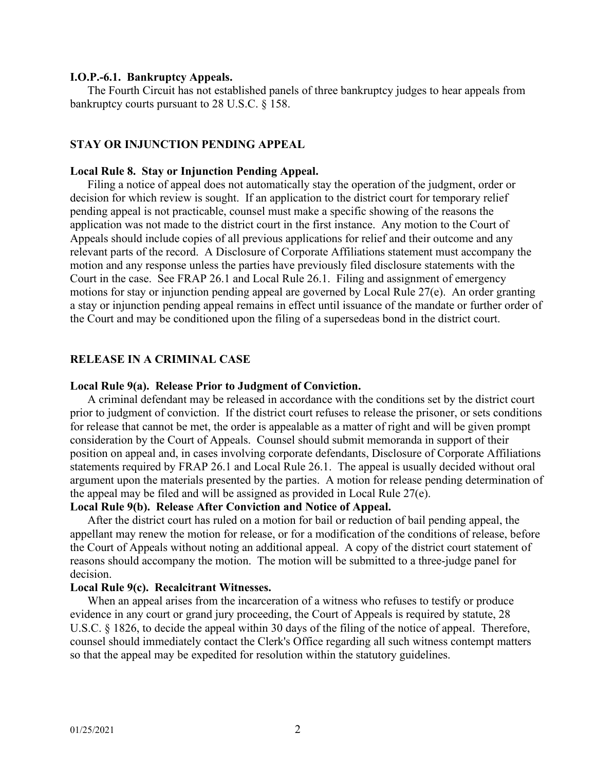#### **I.O.P.-6.1. Bankruptcy Appeals.**

The Fourth Circuit has not established panels of three bankruptcy judges to hear appeals from bankruptcy courts pursuant to 28 U.S.C. § 158.

### **STAY OR INJUNCTION PENDING APPEAL**

### **Local Rule 8. Stay or Injunction Pending Appeal.**

Filing a notice of appeal does not automatically stay the operation of the judgment, order or decision for which review is sought. If an application to the district court for temporary relief pending appeal is not practicable, counsel must make a specific showing of the reasons the application was not made to the district court in the first instance. Any motion to the Court of Appeals should include copies of all previous applications for relief and their outcome and any relevant parts of the record. A Disclosure of Corporate Affiliations statement must accompany the motion and any response unless the parties have previously filed disclosure statements with the Court in the case. See FRAP 26.1 and Local Rule 26.1. Filing and assignment of emergency motions for stay or injunction pending appeal are governed by Local Rule 27(e). An order granting a stay or injunction pending appeal remains in effect until issuance of the mandate or further order of the Court and may be conditioned upon the filing of a supersedeas bond in the district court.

#### **RELEASE IN A CRIMINAL CASE**

#### **Local Rule 9(a). Release Prior to Judgment of Conviction.**

A criminal defendant may be released in accordance with the conditions set by the district court prior to judgment of conviction. If the district court refuses to release the prisoner, or sets conditions for release that cannot be met, the order is appealable as a matter of right and will be given prompt consideration by the Court of Appeals. Counsel should submit memoranda in support of their position on appeal and, in cases involving corporate defendants, Disclosure of Corporate Affiliations statements required by FRAP 26.1 and Local Rule 26.1. The appeal is usually decided without oral argument upon the materials presented by the parties. A motion for release pending determination of the appeal may be filed and will be assigned as provided in Local Rule 27(e).

#### **Local Rule 9(b). Release After Conviction and Notice of Appeal.**

After the district court has ruled on a motion for bail or reduction of bail pending appeal, the appellant may renew the motion for release, or for a modification of the conditions of release, before the Court of Appeals without noting an additional appeal. A copy of the district court statement of reasons should accompany the motion. The motion will be submitted to a three-judge panel for decision.

#### **Local Rule 9(c). Recalcitrant Witnesses.**

When an appeal arises from the incarceration of a witness who refuses to testify or produce evidence in any court or grand jury proceeding, the Court of Appeals is required by statute, 28 U.S.C. § 1826, to decide the appeal within 30 days of the filing of the notice of appeal. Therefore, counsel should immediately contact the Clerk's Office regarding all such witness contempt matters so that the appeal may be expedited for resolution within the statutory guidelines.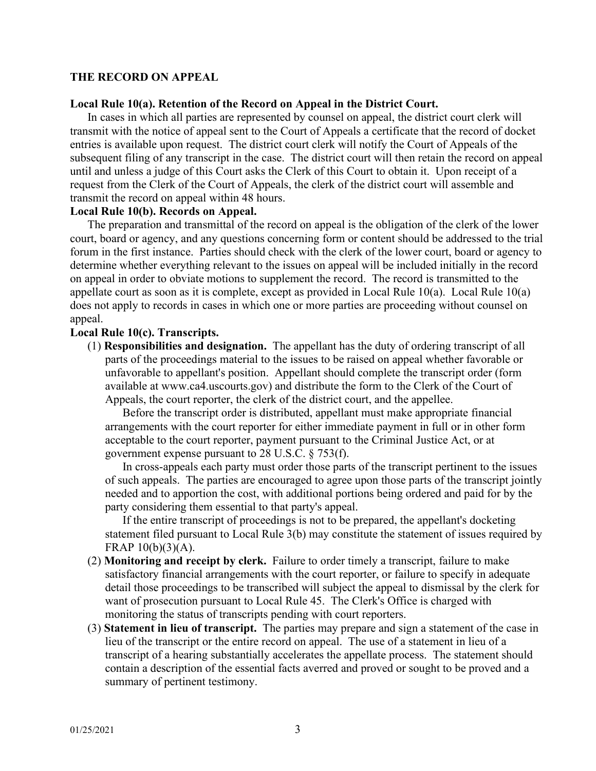#### **THE RECORD ON APPEAL**

#### **Local Rule 10(a). Retention of the Record on Appeal in the District Court.**

In cases in which all parties are represented by counsel on appeal, the district court clerk will transmit with the notice of appeal sent to the Court of Appeals a certificate that the record of docket entries is available upon request. The district court clerk will notify the Court of Appeals of the subsequent filing of any transcript in the case. The district court will then retain the record on appeal until and unless a judge of this Court asks the Clerk of this Court to obtain it. Upon receipt of a request from the Clerk of the Court of Appeals, the clerk of the district court will assemble and transmit the record on appeal within 48 hours.

### **Local Rule 10(b). Records on Appeal.**

The preparation and transmittal of the record on appeal is the obligation of the clerk of the lower court, board or agency, and any questions concerning form or content should be addressed to the trial forum in the first instance. Parties should check with the clerk of the lower court, board or agency to determine whether everything relevant to the issues on appeal will be included initially in the record on appeal in order to obviate motions to supplement the record. The record is transmitted to the appellate court as soon as it is complete, except as provided in Local Rule 10(a). Local Rule 10(a) does not apply to records in cases in which one or more parties are proceeding without counsel on appeal.

#### **Local Rule 10(c). Transcripts.**

(1) **Responsibilities and designation.** The appellant has the duty of ordering transcript of all parts of the proceedings material to the issues to be raised on appeal whether favorable or unfavorable to appellant's position. Appellant should complete the transcript order (form available at www.ca4.uscourts.gov) and distribute the form to the Clerk of the Court of Appeals, the court reporter, the clerk of the district court, and the appellee.

Before the transcript order is distributed, appellant must make appropriate financial arrangements with the court reporter for either immediate payment in full or in other form acceptable to the court reporter, payment pursuant to the Criminal Justice Act, or at government expense pursuant to 28 U.S.C. § 753(f).

In cross-appeals each party must order those parts of the transcript pertinent to the issues of such appeals. The parties are encouraged to agree upon those parts of the transcript jointly needed and to apportion the cost, with additional portions being ordered and paid for by the party considering them essential to that party's appeal.

If the entire transcript of proceedings is not to be prepared, the appellant's docketing statement filed pursuant to Local Rule 3(b) may constitute the statement of issues required by FRAP 10(b)(3)(A).

- (2) **Monitoring and receipt by clerk.** Failure to order timely a transcript, failure to make satisfactory financial arrangements with the court reporter, or failure to specify in adequate detail those proceedings to be transcribed will subject the appeal to dismissal by the clerk for want of prosecution pursuant to Local Rule 45. The Clerk's Office is charged with monitoring the status of transcripts pending with court reporters.
- (3) **Statement in lieu of transcript.** The parties may prepare and sign a statement of the case in lieu of the transcript or the entire record on appeal. The use of a statement in lieu of a transcript of a hearing substantially accelerates the appellate process. The statement should contain a description of the essential facts averred and proved or sought to be proved and a summary of pertinent testimony.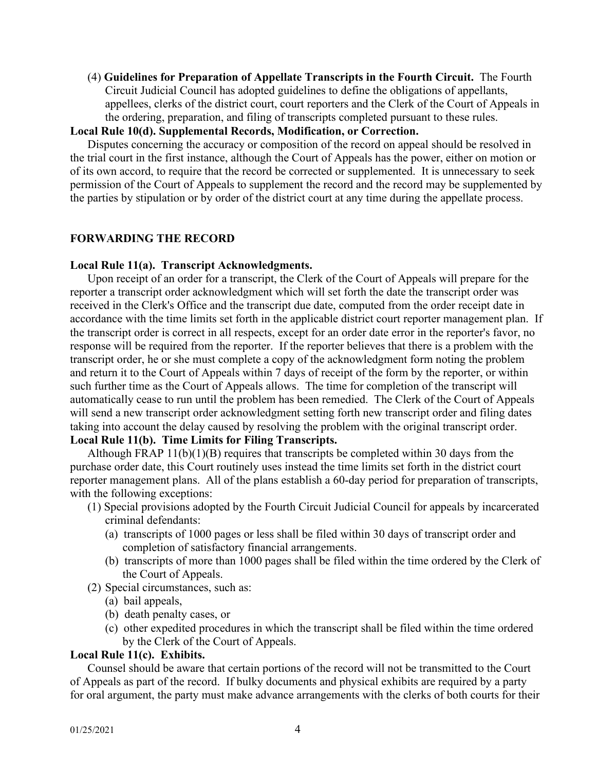(4) **Guidelines for Preparation of Appellate Transcripts in the Fourth Circuit.** The Fourth Circuit Judicial Council has adopted guidelines to define the obligations of appellants, appellees, clerks of the district court, court reporters and the Clerk of the Court of Appeals in the ordering, preparation, and filing of transcripts completed pursuant to these rules.

## **Local Rule 10(d). Supplemental Records, Modification, or Correction.**

Disputes concerning the accuracy or composition of the record on appeal should be resolved in the trial court in the first instance, although the Court of Appeals has the power, either on motion or of its own accord, to require that the record be corrected or supplemented. It is unnecessary to seek permission of the Court of Appeals to supplement the record and the record may be supplemented by the parties by stipulation or by order of the district court at any time during the appellate process.

#### **FORWARDING THE RECORD**

#### **Local Rule 11(a). Transcript Acknowledgments.**

Upon receipt of an order for a transcript, the Clerk of the Court of Appeals will prepare for the reporter a transcript order acknowledgment which will set forth the date the transcript order was received in the Clerk's Office and the transcript due date, computed from the order receipt date in accordance with the time limits set forth in the applicable district court reporter management plan. If the transcript order is correct in all respects, except for an order date error in the reporter's favor, no response will be required from the reporter. If the reporter believes that there is a problem with the transcript order, he or she must complete a copy of the acknowledgment form noting the problem and return it to the Court of Appeals within 7 days of receipt of the form by the reporter, or within such further time as the Court of Appeals allows. The time for completion of the transcript will automatically cease to run until the problem has been remedied. The Clerk of the Court of Appeals will send a new transcript order acknowledgment setting forth new transcript order and filing dates taking into account the delay caused by resolving the problem with the original transcript order.

### **Local Rule 11(b). Time Limits for Filing Transcripts.**

Although FRAP 11(b)(1)(B) requires that transcripts be completed within 30 days from the purchase order date, this Court routinely uses instead the time limits set forth in the district court reporter management plans. All of the plans establish a 60-day period for preparation of transcripts, with the following exceptions:

- (1) Special provisions adopted by the Fourth Circuit Judicial Council for appeals by incarcerated criminal defendants:
	- (a) transcripts of 1000 pages or less shall be filed within 30 days of transcript order and completion of satisfactory financial arrangements.
	- (b) transcripts of more than 1000 pages shall be filed within the time ordered by the Clerk of the Court of Appeals.
- (2) Special circumstances, such as:
	- (a) bail appeals,
	- (b) death penalty cases, or
	- (c) other expedited procedures in which the transcript shall be filed within the time ordered by the Clerk of the Court of Appeals.

#### **Local Rule 11(c). Exhibits.**

Counsel should be aware that certain portions of the record will not be transmitted to the Court of Appeals as part of the record. If bulky documents and physical exhibits are required by a party for oral argument, the party must make advance arrangements with the clerks of both courts for their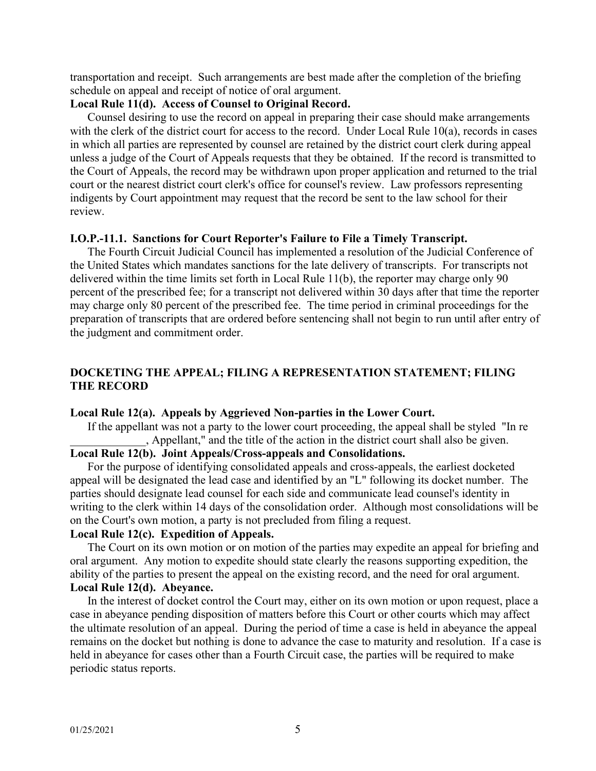transportation and receipt. Such arrangements are best made after the completion of the briefing schedule on appeal and receipt of notice of oral argument.

### **Local Rule 11(d). Access of Counsel to Original Record.**

Counsel desiring to use the record on appeal in preparing their case should make arrangements with the clerk of the district court for access to the record. Under Local Rule 10(a), records in cases in which all parties are represented by counsel are retained by the district court clerk during appeal unless a judge of the Court of Appeals requests that they be obtained. If the record is transmitted to the Court of Appeals, the record may be withdrawn upon proper application and returned to the trial court or the nearest district court clerk's office for counsel's review. Law professors representing indigents by Court appointment may request that the record be sent to the law school for their review.

#### **I.O.P.-11.1. Sanctions for Court Reporter's Failure to File a Timely Transcript.**

The Fourth Circuit Judicial Council has implemented a resolution of the Judicial Conference of the United States which mandates sanctions for the late delivery of transcripts. For transcripts not delivered within the time limits set forth in Local Rule 11(b), the reporter may charge only 90 percent of the prescribed fee; for a transcript not delivered within 30 days after that time the reporter may charge only 80 percent of the prescribed fee. The time period in criminal proceedings for the preparation of transcripts that are ordered before sentencing shall not begin to run until after entry of the judgment and commitment order.

### **DOCKETING THE APPEAL; FILING A REPRESENTATION STATEMENT; FILING THE RECORD**

#### **Local Rule 12(a). Appeals by Aggrieved Non-parties in the Lower Court.**

If the appellant was not a party to the lower court proceeding, the appeal shall be styled "In re \_\_\_\_\_\_\_\_\_\_\_\_\_, Appellant," and the title of the action in the district court shall also be given.

## **Local Rule 12(b). Joint Appeals/Cross-appeals and Consolidations.**

For the purpose of identifying consolidated appeals and cross-appeals, the earliest docketed appeal will be designated the lead case and identified by an "L" following its docket number. The parties should designate lead counsel for each side and communicate lead counsel's identity in writing to the clerk within 14 days of the consolidation order. Although most consolidations will be on the Court's own motion, a party is not precluded from filing a request.

### **Local Rule 12(c). Expedition of Appeals.**

The Court on its own motion or on motion of the parties may expedite an appeal for briefing and oral argument. Any motion to expedite should state clearly the reasons supporting expedition, the ability of the parties to present the appeal on the existing record, and the need for oral argument. **Local Rule 12(d). Abeyance.**

In the interest of docket control the Court may, either on its own motion or upon request, place a case in abeyance pending disposition of matters before this Court or other courts which may affect the ultimate resolution of an appeal. During the period of time a case is held in abeyance the appeal remains on the docket but nothing is done to advance the case to maturity and resolution. If a case is held in abeyance for cases other than a Fourth Circuit case, the parties will be required to make periodic status reports.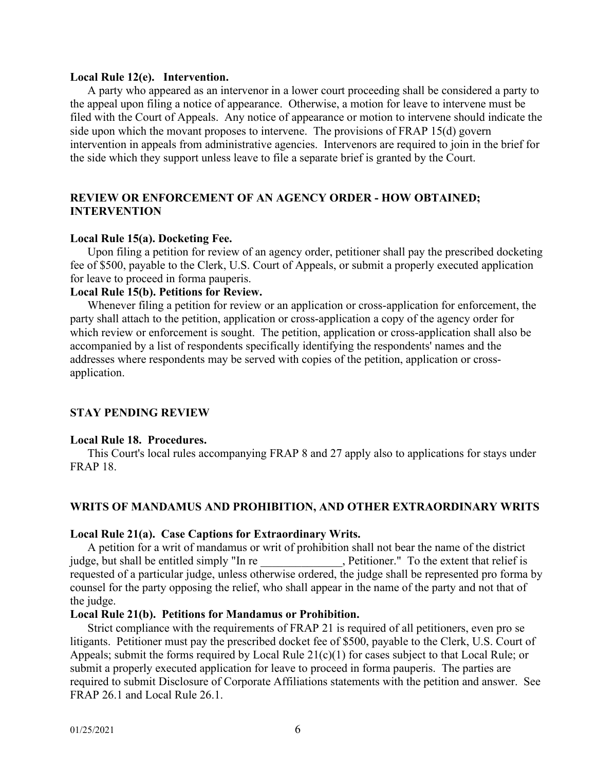#### **Local Rule 12(e). Intervention.**

A party who appeared as an intervenor in a lower court proceeding shall be considered a party to the appeal upon filing a notice of appearance. Otherwise, a motion for leave to intervene must be filed with the Court of Appeals. Any notice of appearance or motion to intervene should indicate the side upon which the movant proposes to intervene. The provisions of FRAP 15(d) govern intervention in appeals from administrative agencies. Intervenors are required to join in the brief for the side which they support unless leave to file a separate brief is granted by the Court.

### **REVIEW OR ENFORCEMENT OF AN AGENCY ORDER - HOW OBTAINED; INTERVENTION**

#### **Local Rule 15(a). Docketing Fee.**

Upon filing a petition for review of an agency order, petitioner shall pay the prescribed docketing fee of \$500, payable to the Clerk, U.S. Court of Appeals, or submit a properly executed application for leave to proceed in forma pauperis.

### **Local Rule 15(b). Petitions for Review.**

Whenever filing a petition for review or an application or cross-application for enforcement, the party shall attach to the petition, application or cross-application a copy of the agency order for which review or enforcement is sought. The petition, application or cross-application shall also be accompanied by a list of respondents specifically identifying the respondents' names and the addresses where respondents may be served with copies of the petition, application or crossapplication.

### **STAY PENDING REVIEW**

#### **Local Rule 18. Procedures.**

This Court's local rules accompanying FRAP 8 and 27 apply also to applications for stays under FRAP 18.

#### **WRITS OF MANDAMUS AND PROHIBITION, AND OTHER EXTRAORDINARY WRITS**

#### **Local Rule 21(a). Case Captions for Extraordinary Writs.**

A petition for a writ of mandamus or writ of prohibition shall not bear the name of the district judge, but shall be entitled simply "In re The stead of Petitioner." To the extent that relief is requested of a particular judge, unless otherwise ordered, the judge shall be represented pro forma by counsel for the party opposing the relief, who shall appear in the name of the party and not that of the judge.

#### **Local Rule 21(b). Petitions for Mandamus or Prohibition.**

Strict compliance with the requirements of FRAP 21 is required of all petitioners, even pro se litigants. Petitioner must pay the prescribed docket fee of \$500, payable to the Clerk, U.S. Court of Appeals; submit the forms required by Local Rule 21(c)(1) for cases subject to that Local Rule; or submit a properly executed application for leave to proceed in forma pauperis. The parties are required to submit Disclosure of Corporate Affiliations statements with the petition and answer. See FRAP 26.1 and Local Rule 26.1.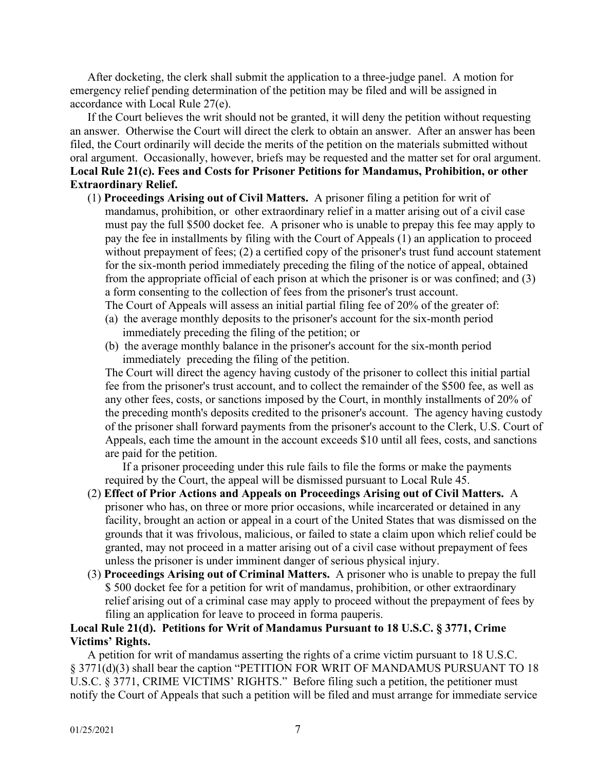After docketing, the clerk shall submit the application to a three-judge panel. A motion for emergency relief pending determination of the petition may be filed and will be assigned in accordance with Local Rule 27(e).

If the Court believes the writ should not be granted, it will deny the petition without requesting an answer. Otherwise the Court will direct the clerk to obtain an answer. After an answer has been filed, the Court ordinarily will decide the merits of the petition on the materials submitted without oral argument. Occasionally, however, briefs may be requested and the matter set for oral argument. **Local Rule 21(c). Fees and Costs for Prisoner Petitions for Mandamus, Prohibition, or other Extraordinary Relief.**

(1) **Proceedings Arising out of Civil Matters.** A prisoner filing a petition for writ of mandamus, prohibition, or other extraordinary relief in a matter arising out of a civil case must pay the full \$500 docket fee. A prisoner who is unable to prepay this fee may apply to pay the fee in installments by filing with the Court of Appeals (1) an application to proceed without prepayment of fees; (2) a certified copy of the prisoner's trust fund account statement for the six-month period immediately preceding the filing of the notice of appeal, obtained from the appropriate official of each prison at which the prisoner is or was confined; and (3) a form consenting to the collection of fees from the prisoner's trust account.

The Court of Appeals will assess an initial partial filing fee of 20% of the greater of:

- (a) the average monthly deposits to the prisoner's account for the six-month period immediately preceding the filing of the petition; or
- (b) the average monthly balance in the prisoner's account for the six-month period immediately preceding the filing of the petition.

The Court will direct the agency having custody of the prisoner to collect this initial partial fee from the prisoner's trust account, and to collect the remainder of the \$500 fee, as well as any other fees, costs, or sanctions imposed by the Court, in monthly installments of 20% of the preceding month's deposits credited to the prisoner's account. The agency having custody of the prisoner shall forward payments from the prisoner's account to the Clerk, U.S. Court of Appeals, each time the amount in the account exceeds \$10 until all fees, costs, and sanctions are paid for the petition.

If a prisoner proceeding under this rule fails to file the forms or make the payments required by the Court, the appeal will be dismissed pursuant to Local Rule 45.

- (2) **Effect of Prior Actions and Appeals on Proceedings Arising out of Civil Matters.** A prisoner who has, on three or more prior occasions, while incarcerated or detained in any facility, brought an action or appeal in a court of the United States that was dismissed on the grounds that it was frivolous, malicious, or failed to state a claim upon which relief could be granted, may not proceed in a matter arising out of a civil case without prepayment of fees unless the prisoner is under imminent danger of serious physical injury.
- (3) **Proceedings Arising out of Criminal Matters.** A prisoner who is unable to prepay the full \$ 500 docket fee for a petition for writ of mandamus, prohibition, or other extraordinary relief arising out of a criminal case may apply to proceed without the prepayment of fees by filing an application for leave to proceed in forma pauperis.

### **Local Rule 21(d). Petitions for Writ of Mandamus Pursuant to 18 U.S.C. § 3771, Crime Victims' Rights.**

A petition for writ of mandamus asserting the rights of a crime victim pursuant to 18 U.S.C. § 3771(d)(3) shall bear the caption "PETITION FOR WRIT OF MANDAMUS PURSUANT TO 18 U.S.C. § 3771, CRIME VICTIMS' RIGHTS." Before filing such a petition, the petitioner must notify the Court of Appeals that such a petition will be filed and must arrange for immediate service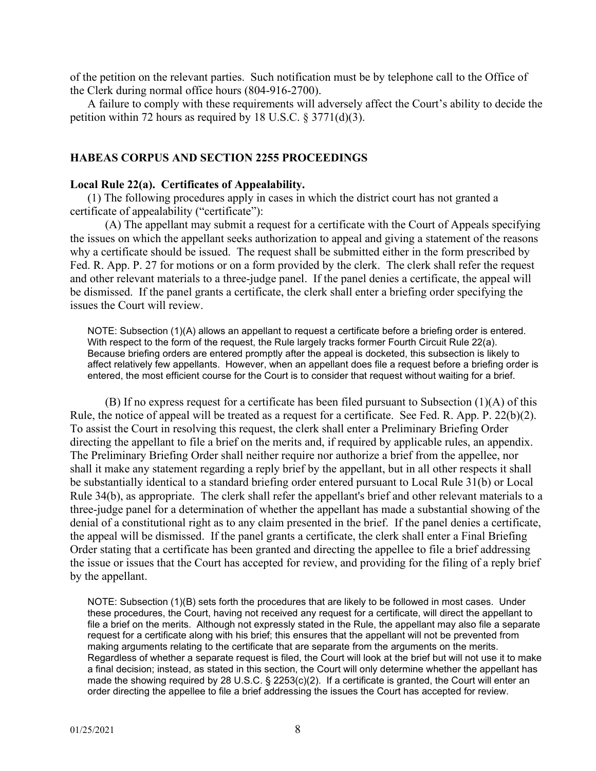of the petition on the relevant parties. Such notification must be by telephone call to the Office of the Clerk during normal office hours (804-916-2700).

A failure to comply with these requirements will adversely affect the Court's ability to decide the petition within 72 hours as required by 18 U.S.C. § 3771(d)(3).

### **HABEAS CORPUS AND SECTION 2255 PROCEEDINGS**

#### **Local Rule 22(a). Certificates of Appealability.**

(1) The following procedures apply in cases in which the district court has not granted a certificate of appealability ("certificate"):

(A) The appellant may submit a request for a certificate with the Court of Appeals specifying the issues on which the appellant seeks authorization to appeal and giving a statement of the reasons why a certificate should be issued. The request shall be submitted either in the form prescribed by Fed. R. App. P. 27 for motions or on a form provided by the clerk. The clerk shall refer the request and other relevant materials to a three-judge panel. If the panel denies a certificate, the appeal will be dismissed. If the panel grants a certificate, the clerk shall enter a briefing order specifying the issues the Court will review.

NOTE: Subsection (1)(A) allows an appellant to request a certificate before a briefing order is entered. With respect to the form of the request, the Rule largely tracks former Fourth Circuit Rule 22(a). Because briefing orders are entered promptly after the appeal is docketed, this subsection is likely to affect relatively few appellants. However, when an appellant does file a request before a briefing order is entered, the most efficient course for the Court is to consider that request without waiting for a brief.

 $(B)$  If no express request for a certificate has been filed pursuant to Subsection  $(1)(A)$  of this Rule, the notice of appeal will be treated as a request for a certificate. See Fed. R. App. P. 22(b)(2). To assist the Court in resolving this request, the clerk shall enter a Preliminary Briefing Order directing the appellant to file a brief on the merits and, if required by applicable rules, an appendix. The Preliminary Briefing Order shall neither require nor authorize a brief from the appellee, nor shall it make any statement regarding a reply brief by the appellant, but in all other respects it shall be substantially identical to a standard briefing order entered pursuant to Local Rule 31(b) or Local Rule 34(b), as appropriate. The clerk shall refer the appellant's brief and other relevant materials to a three-judge panel for a determination of whether the appellant has made a substantial showing of the denial of a constitutional right as to any claim presented in the brief. If the panel denies a certificate, the appeal will be dismissed. If the panel grants a certificate, the clerk shall enter a Final Briefing Order stating that a certificate has been granted and directing the appellee to file a brief addressing the issue or issues that the Court has accepted for review, and providing for the filing of a reply brief by the appellant.

NOTE: Subsection (1)(B) sets forth the procedures that are likely to be followed in most cases. Under these procedures, the Court, having not received any request for a certificate, will direct the appellant to file a brief on the merits. Although not expressly stated in the Rule, the appellant may also file a separate request for a certificate along with his brief; this ensures that the appellant will not be prevented from making arguments relating to the certificate that are separate from the arguments on the merits. Regardless of whether a separate request is filed, the Court will look at the brief but will not use it to make a final decision; instead, as stated in this section, the Court will only determine whether the appellant has made the showing required by 28 U.S.C. § 2253(c)(2). If a certificate is granted, the Court will enter an order directing the appellee to file a brief addressing the issues the Court has accepted for review.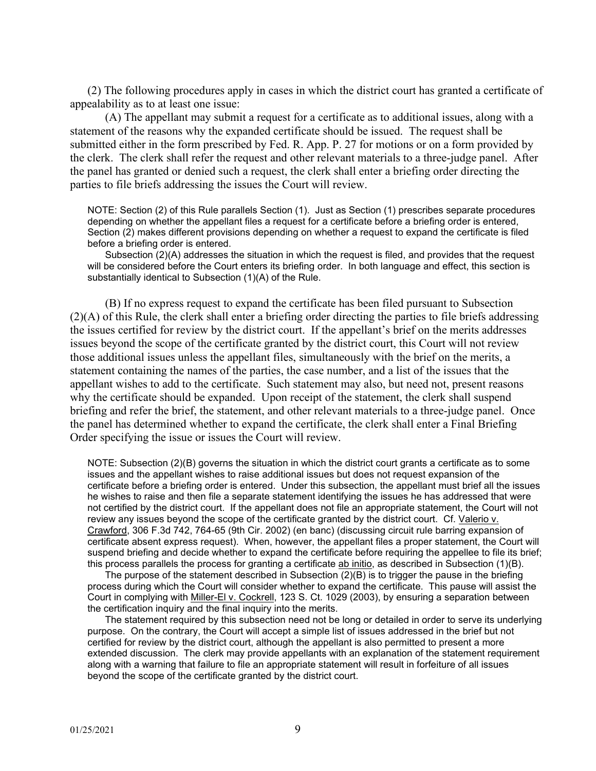(2) The following procedures apply in cases in which the district court has granted a certificate of appealability as to at least one issue:

(A) The appellant may submit a request for a certificate as to additional issues, along with a statement of the reasons why the expanded certificate should be issued. The request shall be submitted either in the form prescribed by Fed. R. App. P. 27 for motions or on a form provided by the clerk. The clerk shall refer the request and other relevant materials to a three-judge panel. After the panel has granted or denied such a request, the clerk shall enter a briefing order directing the parties to file briefs addressing the issues the Court will review.

NOTE: Section (2) of this Rule parallels Section (1). Just as Section (1) prescribes separate procedures depending on whether the appellant files a request for a certificate before a briefing order is entered, Section (2) makes different provisions depending on whether a request to expand the certificate is filed before a briefing order is entered.

Subsection (2)(A) addresses the situation in which the request is filed, and provides that the request will be considered before the Court enters its briefing order. In both language and effect, this section is substantially identical to Subsection (1)(A) of the Rule.

(B) If no express request to expand the certificate has been filed pursuant to Subsection (2)(A) of this Rule, the clerk shall enter a briefing order directing the parties to file briefs addressing the issues certified for review by the district court. If the appellant's brief on the merits addresses issues beyond the scope of the certificate granted by the district court, this Court will not review those additional issues unless the appellant files, simultaneously with the brief on the merits, a statement containing the names of the parties, the case number, and a list of the issues that the appellant wishes to add to the certificate. Such statement may also, but need not, present reasons why the certificate should be expanded. Upon receipt of the statement, the clerk shall suspend briefing and refer the brief, the statement, and other relevant materials to a three-judge panel. Once the panel has determined whether to expand the certificate, the clerk shall enter a Final Briefing Order specifying the issue or issues the Court will review.

NOTE: Subsection (2)(B) governs the situation in which the district court grants a certificate as to some issues and the appellant wishes to raise additional issues but does not request expansion of the certificate before a briefing order is entered. Under this subsection, the appellant must brief all the issues he wishes to raise and then file a separate statement identifying the issues he has addressed that were not certified by the district court. If the appellant does not file an appropriate statement, the Court will not review any issues beyond the scope of the certificate granted by the district court. Cf. Valerio v. Crawford, 306 F.3d 742, 764-65 (9th Cir. 2002) (en banc) (discussing circuit rule barring expansion of certificate absent express request). When, however, the appellant files a proper statement, the Court will suspend briefing and decide whether to expand the certificate before requiring the appellee to file its brief; this process parallels the process for granting a certificate ab initio, as described in Subsection (1)(B).

The purpose of the statement described in Subsection  $(2)(B)$  is to trigger the pause in the briefing process during which the Court will consider whether to expand the certificate. This pause will assist the Court in complying with Miller-El v. Cockrell, 123 S. Ct. 1029 (2003), by ensuring a separation between the certification inquiry and the final inquiry into the merits.

The statement required by this subsection need not be long or detailed in order to serve its underlying purpose. On the contrary, the Court will accept a simple list of issues addressed in the brief but not certified for review by the district court, although the appellant is also permitted to present a more extended discussion. The clerk may provide appellants with an explanation of the statement requirement along with a warning that failure to file an appropriate statement will result in forfeiture of all issues beyond the scope of the certificate granted by the district court.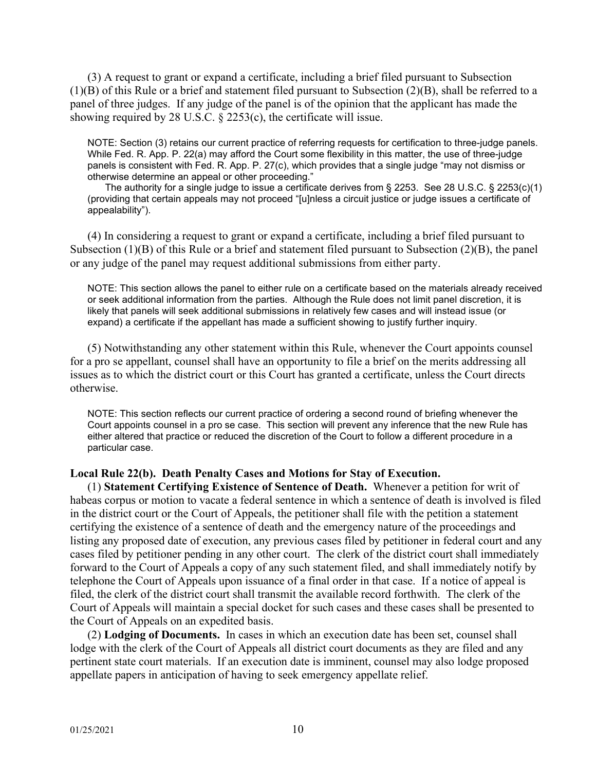(3) A request to grant or expand a certificate, including a brief filed pursuant to Subsection (1)(B) of this Rule or a brief and statement filed pursuant to Subsection (2)(B), shall be referred to a panel of three judges. If any judge of the panel is of the opinion that the applicant has made the showing required by 28 U.S.C. § 2253(c), the certificate will issue.

NOTE: Section (3) retains our current practice of referring requests for certification to three-judge panels. While Fed. R. App. P. 22(a) may afford the Court some flexibility in this matter, the use of three-judge panels is consistent with Fed. R. App. P. 27(c), which provides that a single judge "may not dismiss or otherwise determine an appeal or other proceeding."

The authority for a single judge to issue a certificate derives from § 2253. See 28 U.S.C. § 2253(c)(1) (providing that certain appeals may not proceed "[u]nless a circuit justice or judge issues a certificate of appealability").

(4) In considering a request to grant or expand a certificate, including a brief filed pursuant to Subsection (1)(B) of this Rule or a brief and statement filed pursuant to Subsection (2)(B), the panel or any judge of the panel may request additional submissions from either party.

NOTE: This section allows the panel to either rule on a certificate based on the materials already received or seek additional information from the parties. Although the Rule does not limit panel discretion, it is likely that panels will seek additional submissions in relatively few cases and will instead issue (or expand) a certificate if the appellant has made a sufficient showing to justify further inquiry.

(5) Notwithstanding any other statement within this Rule, whenever the Court appoints counsel for a pro se appellant, counsel shall have an opportunity to file a brief on the merits addressing all issues as to which the district court or this Court has granted a certificate, unless the Court directs otherwise.

NOTE: This section reflects our current practice of ordering a second round of briefing whenever the Court appoints counsel in a pro se case. This section will prevent any inference that the new Rule has either altered that practice or reduced the discretion of the Court to follow a different procedure in a particular case.

#### **Local Rule 22(b). Death Penalty Cases and Motions for Stay of Execution.**

(1) **Statement Certifying Existence of Sentence of Death.** Whenever a petition for writ of habeas corpus or motion to vacate a federal sentence in which a sentence of death is involved is filed in the district court or the Court of Appeals, the petitioner shall file with the petition a statement certifying the existence of a sentence of death and the emergency nature of the proceedings and listing any proposed date of execution, any previous cases filed by petitioner in federal court and any cases filed by petitioner pending in any other court. The clerk of the district court shall immediately forward to the Court of Appeals a copy of any such statement filed, and shall immediately notify by telephone the Court of Appeals upon issuance of a final order in that case. If a notice of appeal is filed, the clerk of the district court shall transmit the available record forthwith. The clerk of the Court of Appeals will maintain a special docket for such cases and these cases shall be presented to the Court of Appeals on an expedited basis.

(2) **Lodging of Documents.** In cases in which an execution date has been set, counsel shall lodge with the clerk of the Court of Appeals all district court documents as they are filed and any pertinent state court materials. If an execution date is imminent, counsel may also lodge proposed appellate papers in anticipation of having to seek emergency appellate relief.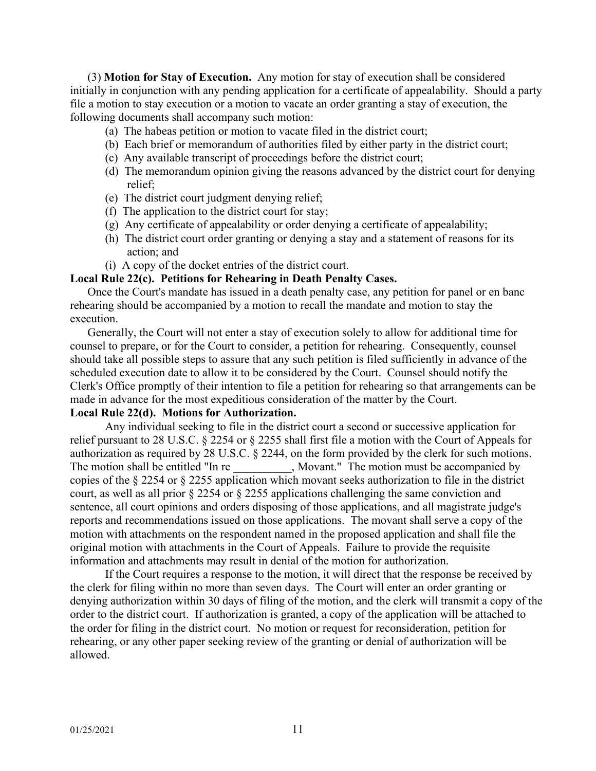(3) **Motion for Stay of Execution.** Any motion for stay of execution shall be considered initially in conjunction with any pending application for a certificate of appealability. Should a party file a motion to stay execution or a motion to vacate an order granting a stay of execution, the following documents shall accompany such motion:

- (a) The habeas petition or motion to vacate filed in the district court;
- (b) Each brief or memorandum of authorities filed by either party in the district court;
- (c) Any available transcript of proceedings before the district court;
- (d) The memorandum opinion giving the reasons advanced by the district court for denying relief;
- (e) The district court judgment denying relief;
- (f) The application to the district court for stay;
- (g) Any certificate of appealability or order denying a certificate of appealability;
- (h) The district court order granting or denying a stay and a statement of reasons for its action; and
- (i) A copy of the docket entries of the district court.

### **Local Rule 22(c). Petitions for Rehearing in Death Penalty Cases.**

Once the Court's mandate has issued in a death penalty case, any petition for panel or en banc rehearing should be accompanied by a motion to recall the mandate and motion to stay the execution.

Generally, the Court will not enter a stay of execution solely to allow for additional time for counsel to prepare, or for the Court to consider, a petition for rehearing. Consequently, counsel should take all possible steps to assure that any such petition is filed sufficiently in advance of the scheduled execution date to allow it to be considered by the Court. Counsel should notify the Clerk's Office promptly of their intention to file a petition for rehearing so that arrangements can be made in advance for the most expeditious consideration of the matter by the Court.

## **Local Rule 22(d). Motions for Authorization.**

Any individual seeking to file in the district court a second or successive application for relief pursuant to 28 U.S.C. § 2254 or § 2255 shall first file a motion with the Court of Appeals for authorization as required by 28 U.S.C. § 2244, on the form provided by the clerk for such motions. The motion shall be entitled "In re  $\blacksquare$ , Movant." The motion must be accompanied by copies of the § 2254 or § 2255 application which movant seeks authorization to file in the district court, as well as all prior § 2254 or § 2255 applications challenging the same conviction and sentence, all court opinions and orders disposing of those applications, and all magistrate judge's reports and recommendations issued on those applications. The movant shall serve a copy of the motion with attachments on the respondent named in the proposed application and shall file the original motion with attachments in the Court of Appeals. Failure to provide the requisite information and attachments may result in denial of the motion for authorization.

If the Court requires a response to the motion, it will direct that the response be received by the clerk for filing within no more than seven days. The Court will enter an order granting or denying authorization within 30 days of filing of the motion, and the clerk will transmit a copy of the order to the district court. If authorization is granted, a copy of the application will be attached to the order for filing in the district court. No motion or request for reconsideration, petition for rehearing, or any other paper seeking review of the granting or denial of authorization will be allowed.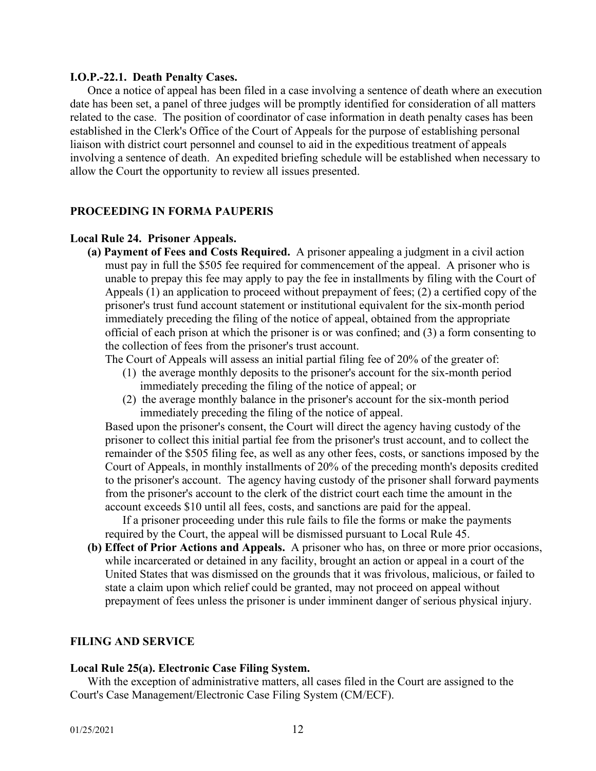#### **I.O.P.-22.1. Death Penalty Cases.**

Once a notice of appeal has been filed in a case involving a sentence of death where an execution date has been set, a panel of three judges will be promptly identified for consideration of all matters related to the case. The position of coordinator of case information in death penalty cases has been established in the Clerk's Office of the Court of Appeals for the purpose of establishing personal liaison with district court personnel and counsel to aid in the expeditious treatment of appeals involving a sentence of death. An expedited briefing schedule will be established when necessary to allow the Court the opportunity to review all issues presented.

#### **PROCEEDING IN FORMA PAUPERIS**

#### **Local Rule 24. Prisoner Appeals.**

**(a) Payment of Fees and Costs Required.** A prisoner appealing a judgment in a civil action must pay in full the \$505 fee required for commencement of the appeal. A prisoner who is unable to prepay this fee may apply to pay the fee in installments by filing with the Court of Appeals (1) an application to proceed without prepayment of fees; (2) a certified copy of the prisoner's trust fund account statement or institutional equivalent for the six-month period immediately preceding the filing of the notice of appeal, obtained from the appropriate official of each prison at which the prisoner is or was confined; and (3) a form consenting to the collection of fees from the prisoner's trust account.

The Court of Appeals will assess an initial partial filing fee of 20% of the greater of:

- (1) the average monthly deposits to the prisoner's account for the six-month period immediately preceding the filing of the notice of appeal; or
- (2) the average monthly balance in the prisoner's account for the six-month period immediately preceding the filing of the notice of appeal.

Based upon the prisoner's consent, the Court will direct the agency having custody of the prisoner to collect this initial partial fee from the prisoner's trust account, and to collect the remainder of the \$505 filing fee, as well as any other fees, costs, or sanctions imposed by the Court of Appeals, in monthly installments of 20% of the preceding month's deposits credited to the prisoner's account. The agency having custody of the prisoner shall forward payments from the prisoner's account to the clerk of the district court each time the amount in the account exceeds \$10 until all fees, costs, and sanctions are paid for the appeal.

If a prisoner proceeding under this rule fails to file the forms or make the payments required by the Court, the appeal will be dismissed pursuant to Local Rule 45.

**(b) Effect of Prior Actions and Appeals.** A prisoner who has, on three or more prior occasions, while incarcerated or detained in any facility, brought an action or appeal in a court of the United States that was dismissed on the grounds that it was frivolous, malicious, or failed to state a claim upon which relief could be granted, may not proceed on appeal without prepayment of fees unless the prisoner is under imminent danger of serious physical injury.

#### **FILING AND SERVICE**

#### **Local Rule 25(a). Electronic Case Filing System.**

With the exception of administrative matters, all cases filed in the Court are assigned to the Court's Case Management/Electronic Case Filing System (CM/ECF).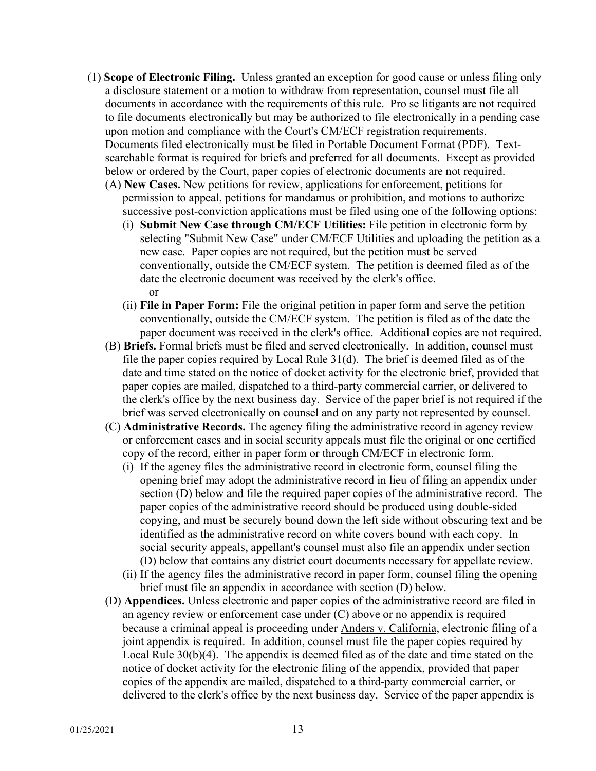- (1) **Scope of Electronic Filing.** Unless granted an exception for good cause or unless filing only a disclosure statement or a motion to withdraw from representation, counsel must file all documents in accordance with the requirements of this rule. Pro se litigants are not required to file documents electronically but may be authorized to file electronically in a pending case upon motion and compliance with the Court's CM/ECF registration requirements. Documents filed electronically must be filed in Portable Document Format (PDF). Textsearchable format is required for briefs and preferred for all documents. Except as provided below or ordered by the Court, paper copies of electronic documents are not required.
	- (A) **New Cases.** New petitions for review, applications for enforcement, petitions for permission to appeal, petitions for mandamus or prohibition, and motions to authorize successive post-conviction applications must be filed using one of the following options:
		- (i) **Submit New Case through CM/ECF Utilities:** File petition in electronic form by selecting "Submit New Case" under CM/ECF Utilities and uploading the petition as a new case. Paper copies are not required, but the petition must be served conventionally, outside the CM/ECF system. The petition is deemed filed as of the date the electronic document was received by the clerk's office. or
		- (ii) **File in Paper Form:** File the original petition in paper form and serve the petition conventionally, outside the CM/ECF system. The petition is filed as of the date the paper document was received in the clerk's office. Additional copies are not required.
	- (B) **Briefs.** Formal briefs must be filed and served electronically. In addition, counsel must file the paper copies required by Local Rule 31(d). The brief is deemed filed as of the date and time stated on the notice of docket activity for the electronic brief, provided that paper copies are mailed, dispatched to a third-party commercial carrier, or delivered to the clerk's office by the next business day. Service of the paper brief is not required if the brief was served electronically on counsel and on any party not represented by counsel.
	- (C) **Administrative Records.** The agency filing the administrative record in agency review or enforcement cases and in social security appeals must file the original or one certified copy of the record, either in paper form or through CM/ECF in electronic form.
		- (i) If the agency files the administrative record in electronic form, counsel filing the opening brief may adopt the administrative record in lieu of filing an appendix under section (D) below and file the required paper copies of the administrative record. The paper copies of the administrative record should be produced using double-sided copying, and must be securely bound down the left side without obscuring text and be identified as the administrative record on white covers bound with each copy. In social security appeals, appellant's counsel must also file an appendix under section (D) below that contains any district court documents necessary for appellate review.
		- (ii) If the agency files the administrative record in paper form, counsel filing the opening brief must file an appendix in accordance with section (D) below.
	- (D) **Appendices.** Unless electronic and paper copies of the administrative record are filed in an agency review or enforcement case under (C) above or no appendix is required because a criminal appeal is proceeding under Anders v. California, electronic filing of a joint appendix is required. In addition, counsel must file the paper copies required by Local Rule 30(b)(4). The appendix is deemed filed as of the date and time stated on the notice of docket activity for the electronic filing of the appendix, provided that paper copies of the appendix are mailed, dispatched to a third-party commercial carrier, or delivered to the clerk's office by the next business day. Service of the paper appendix is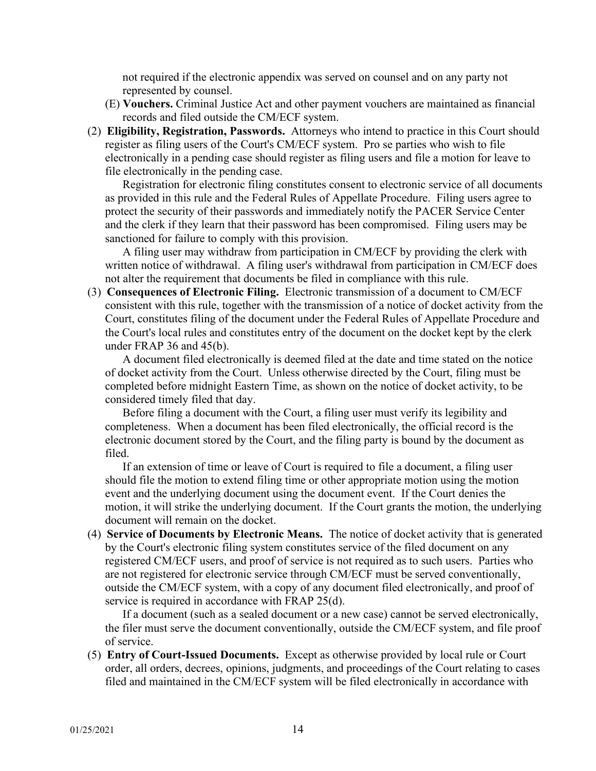not required if the electronic appendix was served on counsel and on any party not represented by counsel.

- (E) **Vouchers.** Criminal Justice Act and other payment vouchers are maintained as financial records and filed outside the CM/ECF system.
- (2) **Eligibility, Registration, Passwords.** Attorneys who intend to practice in this Court should register as filing users of the Court's CM/ECF system. Pro se parties who wish to file electronically in a pending case should register as filing users and file a motion for leave to file electronically in the pending case.

Registration for electronic filing constitutes consent to electronic service of all documents as provided in this rule and the Federal Rules of Appellate Procedure. Filing users agree to protect the security of their passwords and immediately notify the PACER Service Center and the clerk if they learn that their password has been compromised. Filing users may be sanctioned for failure to comply with this provision.

A filing user may withdraw from participation in CM/ECF by providing the clerk with written notice of withdrawal. A filing user's withdrawal from participation in CM/ECF does not alter the requirement that documents be filed in compliance with this rule.

(3) **Consequences of Electronic Filing.** Electronic transmission of a document to CM/ECF consistent with this rule, together with the transmission of a notice of docket activity from the Court, constitutes filing of the document under the Federal Rules of Appellate Procedure and the Court's local rules and constitutes entry of the document on the docket kept by the clerk under FRAP 36 and 45(b).

A document filed electronically is deemed filed at the date and time stated on the notice of docket activity from the Court. Unless otherwise directed by the Court, filing must be completed before midnight Eastern Time, as shown on the notice of docket activity, to be considered timely filed that day.

Before filing a document with the Court, a filing user must verify its legibility and completeness. When a document has been filed electronically, the official record is the electronic document stored by the Court, and the filing party is bound by the document as filed.

If an extension of time or leave of Court is required to file a document, a filing user should file the motion to extend filing time or other appropriate motion using the motion event and the underlying document using the document event. If the Court denies the motion, it will strike the underlying document. If the Court grants the motion, the underlying document will remain on the docket.

(4) **Service of Documents by Electronic Means.** The notice of docket activity that is generated by the Court's electronic filing system constitutes service of the filed document on any registered CM/ECF users, and proof of service is not required as to such users. Parties who are not registered for electronic service through CM/ECF must be served conventionally, outside the CM/ECF system, with a copy of any document filed electronically, and proof of service is required in accordance with FRAP 25(d).

If a document (such as a sealed document or a new case) cannot be served electronically, the filer must serve the document conventionally, outside the CM/ECF system, and file proof of service.

(5) **Entry of Court-Issued Documents.** Except as otherwise provided by local rule or Court order, all orders, decrees, opinions, judgments, and proceedings of the Court relating to cases filed and maintained in the CM/ECF system will be filed electronically in accordance with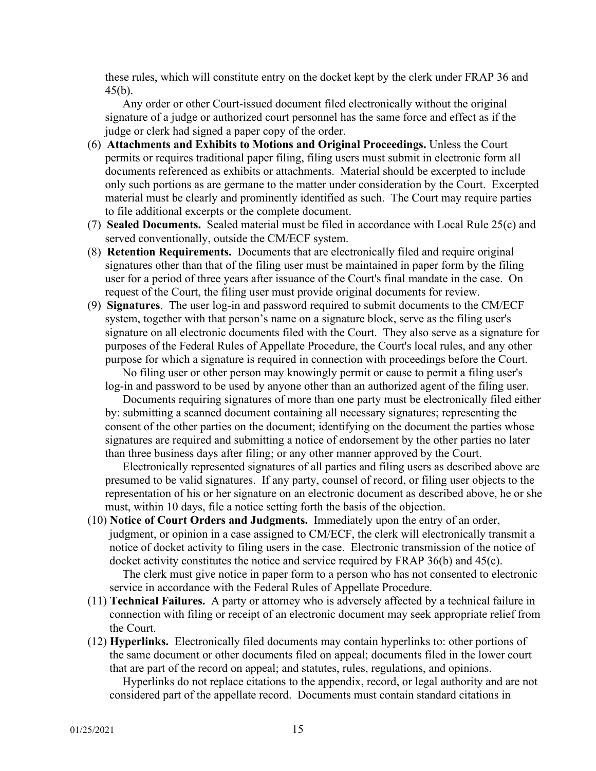these rules, which will constitute entry on the docket kept by the clerk under FRAP 36 and 45(b).

Any order or other Court-issued document filed electronically without the original signature of a judge or authorized court personnel has the same force and effect as if the judge or clerk had signed a paper copy of the order.

- (6) **Attachments and Exhibits to Motions and Original Proceedings.** Unless the Court permits or requires traditional paper filing, filing users must submit in electronic form all documents referenced as exhibits or attachments. Material should be excerpted to include only such portions as are germane to the matter under consideration by the Court. Excerpted material must be clearly and prominently identified as such. The Court may require parties to file additional excerpts or the complete document.
- (7) **Sealed Documents.** Sealed material must be filed in accordance with Local Rule 25(c) and served conventionally, outside the CM/ECF system.
- (8) **Retention Requirements.** Documents that are electronically filed and require original signatures other than that of the filing user must be maintained in paper form by the filing user for a period of three years after issuance of the Court's final mandate in the case. On request of the Court, the filing user must provide original documents for review.
- (9) **Signatures**. The user log-in and password required to submit documents to the CM/ECF system, together with that person's name on a signature block, serve as the filing user's signature on all electronic documents filed with the Court. They also serve as a signature for purposes of the Federal Rules of Appellate Procedure, the Court's local rules, and any other purpose for which a signature is required in connection with proceedings before the Court.

No filing user or other person may knowingly permit or cause to permit a filing user's log-in and password to be used by anyone other than an authorized agent of the filing user.

Documents requiring signatures of more than one party must be electronically filed either by: submitting a scanned document containing all necessary signatures; representing the consent of the other parties on the document; identifying on the document the parties whose signatures are required and submitting a notice of endorsement by the other parties no later than three business days after filing; or any other manner approved by the Court.

Electronically represented signatures of all parties and filing users as described above are presumed to be valid signatures. If any party, counsel of record, or filing user objects to the representation of his or her signature on an electronic document as described above, he or she must, within 10 days, file a notice setting forth the basis of the objection.

(10) **Notice of Court Orders and Judgments.** Immediately upon the entry of an order, judgment, or opinion in a case assigned to CM/ECF, the clerk will electronically transmit a notice of docket activity to filing users in the case. Electronic transmission of the notice of docket activity constitutes the notice and service required by FRAP 36(b) and 45(c).

The clerk must give notice in paper form to a person who has not consented to electronic service in accordance with the Federal Rules of Appellate Procedure.

- (11) **Technical Failures.** A party or attorney who is adversely affected by a technical failure in connection with filing or receipt of an electronic document may seek appropriate relief from the Court.
- (12) **Hyperlinks.** Electronically filed documents may contain hyperlinks to: other portions of the same document or other documents filed on appeal; documents filed in the lower court that are part of the record on appeal; and statutes, rules, regulations, and opinions.

Hyperlinks do not replace citations to the appendix, record, or legal authority and are not considered part of the appellate record. Documents must contain standard citations in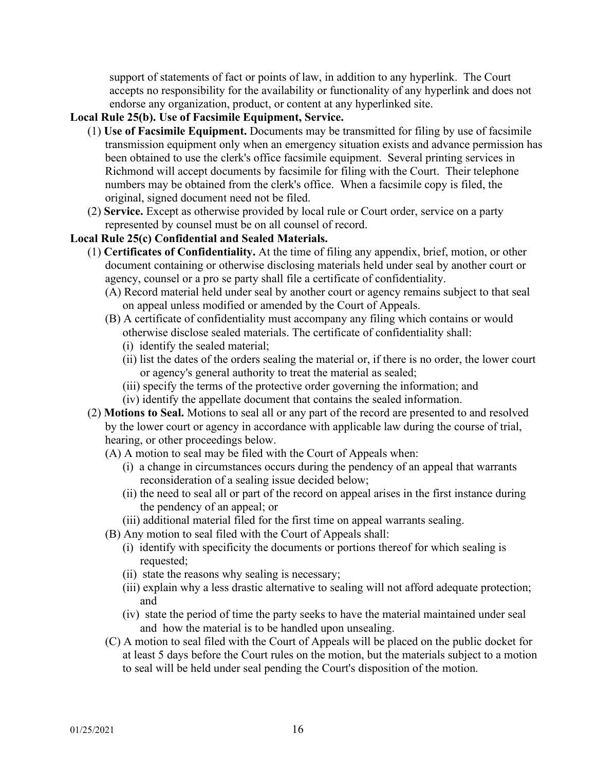support of statements of fact or points of law, in addition to any hyperlink. The Court accepts no responsibility for the availability or functionality of any hyperlink and does not endorse any organization, product, or content at any hyperlinked site.

### **Local Rule 25(b). Use of Facsimile Equipment, Service.**

- (1) **Use of Facsimile Equipment.** Documents may be transmitted for filing by use of facsimile transmission equipment only when an emergency situation exists and advance permission has been obtained to use the clerk's office facsimile equipment. Several printing services in Richmond will accept documents by facsimile for filing with the Court. Their telephone numbers may be obtained from the clerk's office. When a facsimile copy is filed, the original, signed document need not be filed.
- (2) **Service.** Except as otherwise provided by local rule or Court order, service on a party represented by counsel must be on all counsel of record.

### **Local Rule 25(c) Confidential and Sealed Materials.**

- (1) **Certificates of Confidentiality.** At the time of filing any appendix, brief, motion, or other document containing or otherwise disclosing materials held under seal by another court or agency, counsel or a pro se party shall file a certificate of confidentiality.
	- (A) Record material held under seal by another court or agency remains subject to that seal on appeal unless modified or amended by the Court of Appeals.
	- (B) A certificate of confidentiality must accompany any filing which contains or would otherwise disclose sealed materials. The certificate of confidentiality shall:
		- (i) identify the sealed material;
		- (ii) list the dates of the orders sealing the material or, if there is no order, the lower court or agency's general authority to treat the material as sealed;
		- (iii) specify the terms of the protective order governing the information; and
		- (iv) identify the appellate document that contains the sealed information.
- (2) **Motions to Seal.** Motions to seal all or any part of the record are presented to and resolved by the lower court or agency in accordance with applicable law during the course of trial, hearing, or other proceedings below.
	- (A) A motion to seal may be filed with the Court of Appeals when:
		- (i) a change in circumstances occurs during the pendency of an appeal that warrants reconsideration of a sealing issue decided below;
		- (ii) the need to seal all or part of the record on appeal arises in the first instance during the pendency of an appeal; or
		- (iii) additional material filed for the first time on appeal warrants sealing.
	- (B) Any motion to seal filed with the Court of Appeals shall:
		- (i) identify with specificity the documents or portions thereof for which sealing is requested;
		- (ii) state the reasons why sealing is necessary;
		- (iii) explain why a less drastic alternative to sealing will not afford adequate protection; and
		- (iv) state the period of time the party seeks to have the material maintained under seal and how the material is to be handled upon unsealing.
	- (C) A motion to seal filed with the Court of Appeals will be placed on the public docket for at least 5 days before the Court rules on the motion, but the materials subject to a motion to seal will be held under seal pending the Court's disposition of the motion.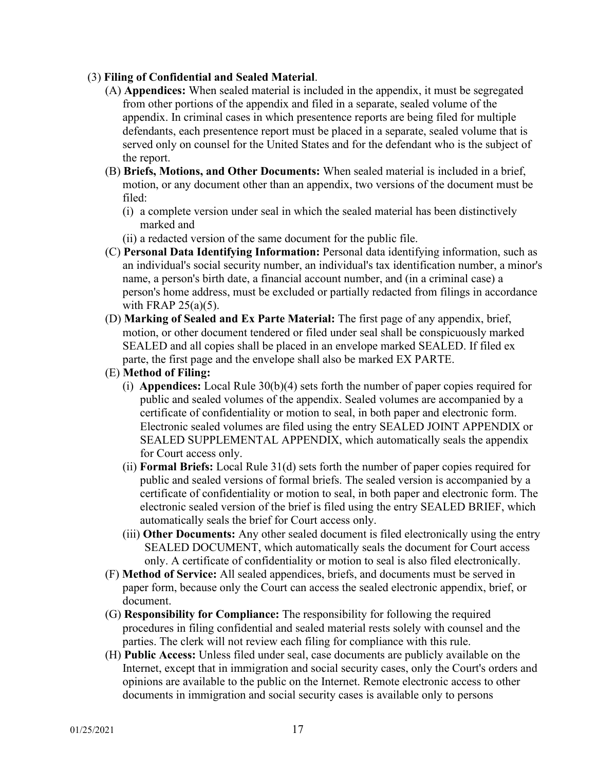### (3) **Filing of Confidential and Sealed Material**.

- (A) **Appendices:** When sealed material is included in the appendix, it must be segregated from other portions of the appendix and filed in a separate, sealed volume of the appendix. In criminal cases in which presentence reports are being filed for multiple defendants, each presentence report must be placed in a separate, sealed volume that is served only on counsel for the United States and for the defendant who is the subject of the report.
- (B) **Briefs, Motions, and Other Documents:** When sealed material is included in a brief, motion, or any document other than an appendix, two versions of the document must be filed:
	- (i) a complete version under seal in which the sealed material has been distinctively marked and
	- (ii) a redacted version of the same document for the public file.
- (C) **Personal Data Identifying Information:** Personal data identifying information, such as an individual's social security number, an individual's tax identification number, a minor's name, a person's birth date, a financial account number, and (in a criminal case) a person's home address, must be excluded or partially redacted from filings in accordance with FRAP  $25(a)(5)$ .
- (D) **Marking of Sealed and Ex Parte Material:** The first page of any appendix, brief, motion, or other document tendered or filed under seal shall be conspicuously marked SEALED and all copies shall be placed in an envelope marked SEALED. If filed ex parte, the first page and the envelope shall also be marked EX PARTE.
- (E) **Method of Filing:**
	- (i) **Appendices:** Local Rule 30(b)(4) sets forth the number of paper copies required for public and sealed volumes of the appendix. Sealed volumes are accompanied by a certificate of confidentiality or motion to seal, in both paper and electronic form. Electronic sealed volumes are filed using the entry SEALED JOINT APPENDIX or SEALED SUPPLEMENTAL APPENDIX, which automatically seals the appendix for Court access only.
	- (ii) **Formal Briefs:** Local Rule 31(d) sets forth the number of paper copies required for public and sealed versions of formal briefs. The sealed version is accompanied by a certificate of confidentiality or motion to seal, in both paper and electronic form. The electronic sealed version of the brief is filed using the entry SEALED BRIEF, which automatically seals the brief for Court access only.
	- (iii) **Other Documents:** Any other sealed document is filed electronically using the entry SEALED DOCUMENT, which automatically seals the document for Court access only. A certificate of confidentiality or motion to seal is also filed electronically.
- (F) **Method of Service:** All sealed appendices, briefs, and documents must be served in paper form, because only the Court can access the sealed electronic appendix, brief, or document.
- (G) **Responsibility for Compliance:** The responsibility for following the required procedures in filing confidential and sealed material rests solely with counsel and the parties. The clerk will not review each filing for compliance with this rule.
- (H) **Public Access:** Unless filed under seal, case documents are publicly available on the Internet, except that in immigration and social security cases, only the Court's orders and opinions are available to the public on the Internet. Remote electronic access to other documents in immigration and social security cases is available only to persons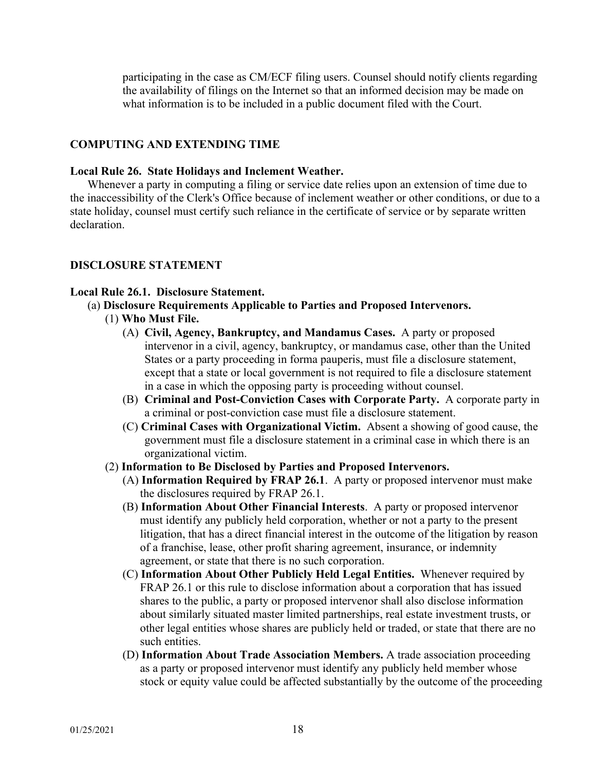participating in the case as CM/ECF filing users. Counsel should notify clients regarding the availability of filings on the Internet so that an informed decision may be made on what information is to be included in a public document filed with the Court.

### **COMPUTING AND EXTENDING TIME**

#### **Local Rule 26. State Holidays and Inclement Weather.**

Whenever a party in computing a filing or service date relies upon an extension of time due to the inaccessibility of the Clerk's Office because of inclement weather or other conditions, or due to a state holiday, counsel must certify such reliance in the certificate of service or by separate written declaration.

#### **DISCLOSURE STATEMENT**

#### **Local Rule 26.1. Disclosure Statement.**

- (a) **Disclosure Requirements Applicable to Parties and Proposed Intervenors.**
	- (1) **Who Must File.** 
		- (A) **Civil, Agency, Bankruptcy, and Mandamus Cases.** A party or proposed intervenor in a civil, agency, bankruptcy, or mandamus case, other than the United States or a party proceeding in forma pauperis, must file a disclosure statement, except that a state or local government is not required to file a disclosure statement in a case in which the opposing party is proceeding without counsel.
		- (B) **Criminal and Post-Conviction Cases with Corporate Party.** A corporate party in a criminal or post-conviction case must file a disclosure statement.
		- (C) **Criminal Cases with Organizational Victim.** Absent a showing of good cause, the government must file a disclosure statement in a criminal case in which there is an organizational victim.

#### (2) **Information to Be Disclosed by Parties and Proposed Intervenors.**

- (A) **Information Required by FRAP 26.1**. A party or proposed intervenor must make the disclosures required by FRAP 26.1.
- (B) **Information About Other Financial Interests**. A party or proposed intervenor must identify any publicly held corporation, whether or not a party to the present litigation, that has a direct financial interest in the outcome of the litigation by reason of a franchise, lease, other profit sharing agreement, insurance, or indemnity agreement, or state that there is no such corporation.
- (C) **Information About Other Publicly Held Legal Entities.** Whenever required by FRAP 26.1 or this rule to disclose information about a corporation that has issued shares to the public, a party or proposed intervenor shall also disclose information about similarly situated master limited partnerships, real estate investment trusts, or other legal entities whose shares are publicly held or traded, or state that there are no such entities.
- (D) **Information About Trade Association Members.** A trade association proceeding as a party or proposed intervenor must identify any publicly held member whose stock or equity value could be affected substantially by the outcome of the proceeding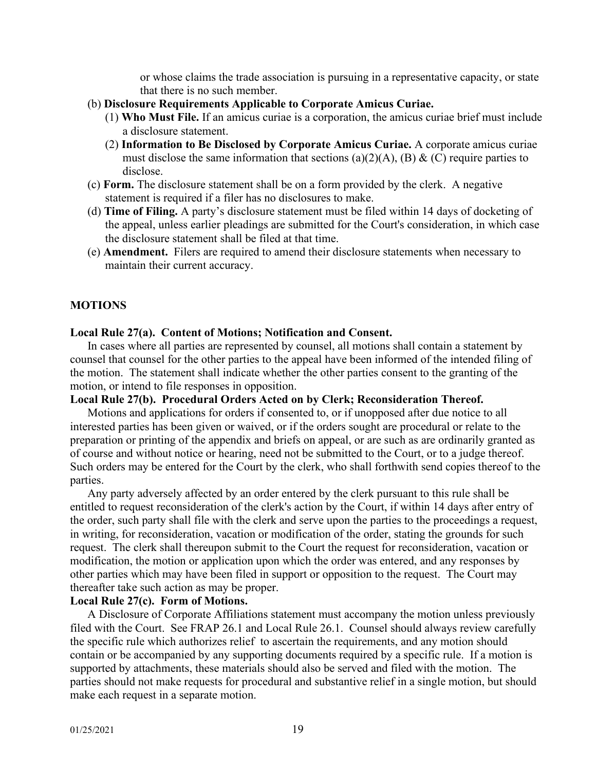or whose claims the trade association is pursuing in a representative capacity, or state that there is no such member.

- (b) **Disclosure Requirements Applicable to Corporate Amicus Curiae.**
	- (1) **Who Must File.** If an amicus curiae is a corporation, the amicus curiae brief must include a disclosure statement.
	- (2) **Information to Be Disclosed by Corporate Amicus Curiae.** A corporate amicus curiae must disclose the same information that sections (a)(2)(A), (B) & (C) require parties to disclose.
- (c) **Form.** The disclosure statement shall be on a form provided by the clerk. A negative statement is required if a filer has no disclosures to make.
- (d) **Time of Filing.** A party's disclosure statement must be filed within 14 days of docketing of the appeal, unless earlier pleadings are submitted for the Court's consideration, in which case the disclosure statement shall be filed at that time.
- (e) **Amendment.** Filers are required to amend their disclosure statements when necessary to maintain their current accuracy.

### **MOTIONS**

#### **Local Rule 27(a). Content of Motions; Notification and Consent.**

In cases where all parties are represented by counsel, all motions shall contain a statement by counsel that counsel for the other parties to the appeal have been informed of the intended filing of the motion. The statement shall indicate whether the other parties consent to the granting of the motion, or intend to file responses in opposition.

### **Local Rule 27(b). Procedural Orders Acted on by Clerk; Reconsideration Thereof.**

Motions and applications for orders if consented to, or if unopposed after due notice to all interested parties has been given or waived, or if the orders sought are procedural or relate to the preparation or printing of the appendix and briefs on appeal, or are such as are ordinarily granted as of course and without notice or hearing, need not be submitted to the Court, or to a judge thereof. Such orders may be entered for the Court by the clerk, who shall forthwith send copies thereof to the parties.

Any party adversely affected by an order entered by the clerk pursuant to this rule shall be entitled to request reconsideration of the clerk's action by the Court, if within 14 days after entry of the order, such party shall file with the clerk and serve upon the parties to the proceedings a request, in writing, for reconsideration, vacation or modification of the order, stating the grounds for such request. The clerk shall thereupon submit to the Court the request for reconsideration, vacation or modification, the motion or application upon which the order was entered, and any responses by other parties which may have been filed in support or opposition to the request. The Court may thereafter take such action as may be proper.

### **Local Rule 27(c). Form of Motions.**

A Disclosure of Corporate Affiliations statement must accompany the motion unless previously filed with the Court. See FRAP 26.1 and Local Rule 26.1. Counsel should always review carefully the specific rule which authorizes relief to ascertain the requirements, and any motion should contain or be accompanied by any supporting documents required by a specific rule. If a motion is supported by attachments, these materials should also be served and filed with the motion. The parties should not make requests for procedural and substantive relief in a single motion, but should make each request in a separate motion.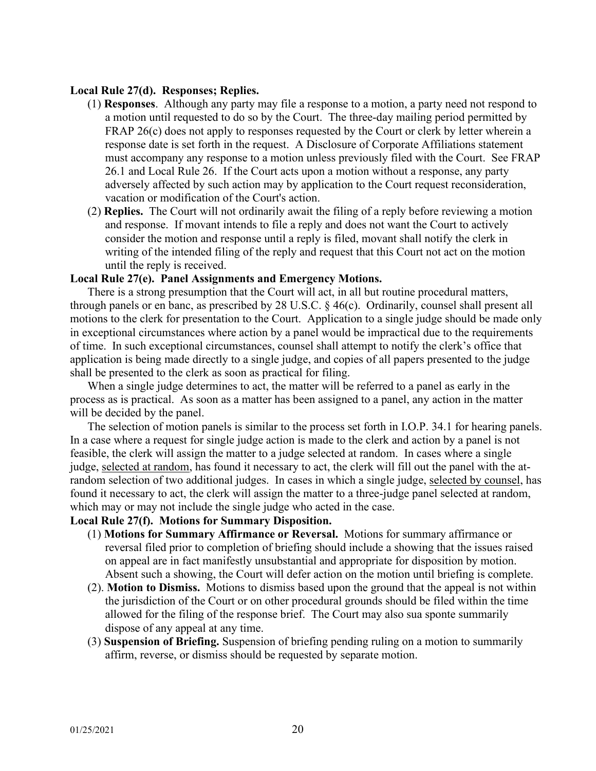### **Local Rule 27(d). Responses; Replies.**

- (1) **Responses**. Although any party may file a response to a motion, a party need not respond to a motion until requested to do so by the Court. The three-day mailing period permitted by FRAP 26(c) does not apply to responses requested by the Court or clerk by letter wherein a response date is set forth in the request. A Disclosure of Corporate Affiliations statement must accompany any response to a motion unless previously filed with the Court. See FRAP 26.1 and Local Rule 26. If the Court acts upon a motion without a response, any party adversely affected by such action may by application to the Court request reconsideration, vacation or modification of the Court's action.
- (2) **Replies.** The Court will not ordinarily await the filing of a reply before reviewing a motion and response. If movant intends to file a reply and does not want the Court to actively consider the motion and response until a reply is filed, movant shall notify the clerk in writing of the intended filing of the reply and request that this Court not act on the motion until the reply is received.

### **Local Rule 27(e). Panel Assignments and Emergency Motions.**

There is a strong presumption that the Court will act, in all but routine procedural matters, through panels or en banc, as prescribed by 28 U.S.C. § 46(c). Ordinarily, counsel shall present all motions to the clerk for presentation to the Court. Application to a single judge should be made only in exceptional circumstances where action by a panel would be impractical due to the requirements of time. In such exceptional circumstances, counsel shall attempt to notify the clerk's office that application is being made directly to a single judge, and copies of all papers presented to the judge shall be presented to the clerk as soon as practical for filing.

When a single judge determines to act, the matter will be referred to a panel as early in the process as is practical. As soon as a matter has been assigned to a panel, any action in the matter will be decided by the panel.

The selection of motion panels is similar to the process set forth in I.O.P. 34.1 for hearing panels. In a case where a request for single judge action is made to the clerk and action by a panel is not feasible, the clerk will assign the matter to a judge selected at random. In cases where a single judge, selected at random, has found it necessary to act, the clerk will fill out the panel with the atrandom selection of two additional judges. In cases in which a single judge, selected by counsel, has found it necessary to act, the clerk will assign the matter to a three-judge panel selected at random, which may or may not include the single judge who acted in the case.

### **Local Rule 27(f). Motions for Summary Disposition.**

- (1) **Motions for Summary Affirmance or Reversal.** Motions for summary affirmance or reversal filed prior to completion of briefing should include a showing that the issues raised on appeal are in fact manifestly unsubstantial and appropriate for disposition by motion. Absent such a showing, the Court will defer action on the motion until briefing is complete.
- (2). **Motion to Dismiss.** Motions to dismiss based upon the ground that the appeal is not within the jurisdiction of the Court or on other procedural grounds should be filed within the time allowed for the filing of the response brief. The Court may also sua sponte summarily dispose of any appeal at any time.
- (3) **Suspension of Briefing.** Suspension of briefing pending ruling on a motion to summarily affirm, reverse, or dismiss should be requested by separate motion.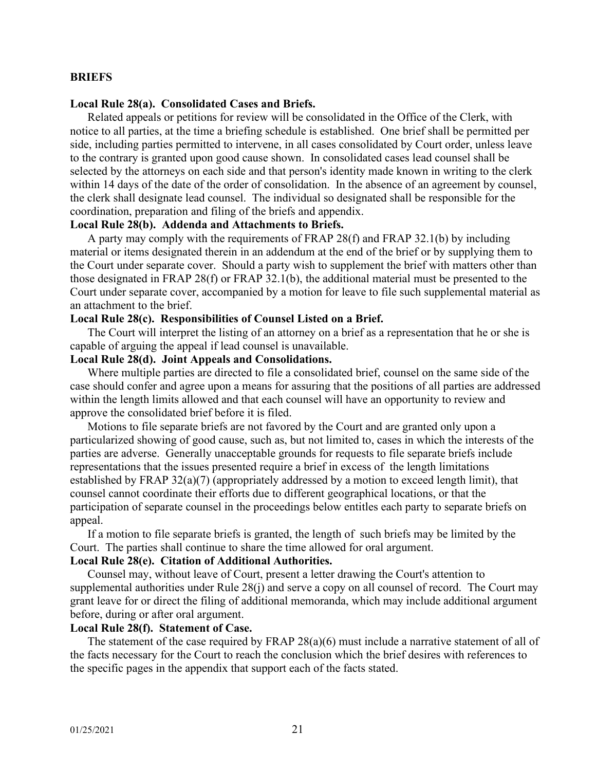#### **BRIEFS**

#### **Local Rule 28(a). Consolidated Cases and Briefs.**

Related appeals or petitions for review will be consolidated in the Office of the Clerk, with notice to all parties, at the time a briefing schedule is established. One brief shall be permitted per side, including parties permitted to intervene, in all cases consolidated by Court order, unless leave to the contrary is granted upon good cause shown. In consolidated cases lead counsel shall be selected by the attorneys on each side and that person's identity made known in writing to the clerk within 14 days of the date of the order of consolidation. In the absence of an agreement by counsel, the clerk shall designate lead counsel. The individual so designated shall be responsible for the coordination, preparation and filing of the briefs and appendix.

### **Local Rule 28(b). Addenda and Attachments to Briefs.**

A party may comply with the requirements of FRAP 28(f) and FRAP 32.1(b) by including material or items designated therein in an addendum at the end of the brief or by supplying them to the Court under separate cover. Should a party wish to supplement the brief with matters other than those designated in FRAP 28(f) or FRAP 32.1(b), the additional material must be presented to the Court under separate cover, accompanied by a motion for leave to file such supplemental material as an attachment to the brief.

#### **Local Rule 28(c). Responsibilities of Counsel Listed on a Brief.**

The Court will interpret the listing of an attorney on a brief as a representation that he or she is capable of arguing the appeal if lead counsel is unavailable.

### **Local Rule 28(d). Joint Appeals and Consolidations.**

Where multiple parties are directed to file a consolidated brief, counsel on the same side of the case should confer and agree upon a means for assuring that the positions of all parties are addressed within the length limits allowed and that each counsel will have an opportunity to review and approve the consolidated brief before it is filed.

Motions to file separate briefs are not favored by the Court and are granted only upon a particularized showing of good cause, such as, but not limited to, cases in which the interests of the parties are adverse. Generally unacceptable grounds for requests to file separate briefs include representations that the issues presented require a brief in excess of the length limitations established by FRAP 32(a)(7) (appropriately addressed by a motion to exceed length limit), that counsel cannot coordinate their efforts due to different geographical locations, or that the participation of separate counsel in the proceedings below entitles each party to separate briefs on appeal.

If a motion to file separate briefs is granted, the length of such briefs may be limited by the Court. The parties shall continue to share the time allowed for oral argument.

### **Local Rule 28(e). Citation of Additional Authorities.**

Counsel may, without leave of Court, present a letter drawing the Court's attention to supplemental authorities under Rule 28(j) and serve a copy on all counsel of record. The Court may grant leave for or direct the filing of additional memoranda, which may include additional argument before, during or after oral argument.

#### **Local Rule 28(f). Statement of Case.**

The statement of the case required by FRAP 28(a)(6) must include a narrative statement of all of the facts necessary for the Court to reach the conclusion which the brief desires with references to the specific pages in the appendix that support each of the facts stated.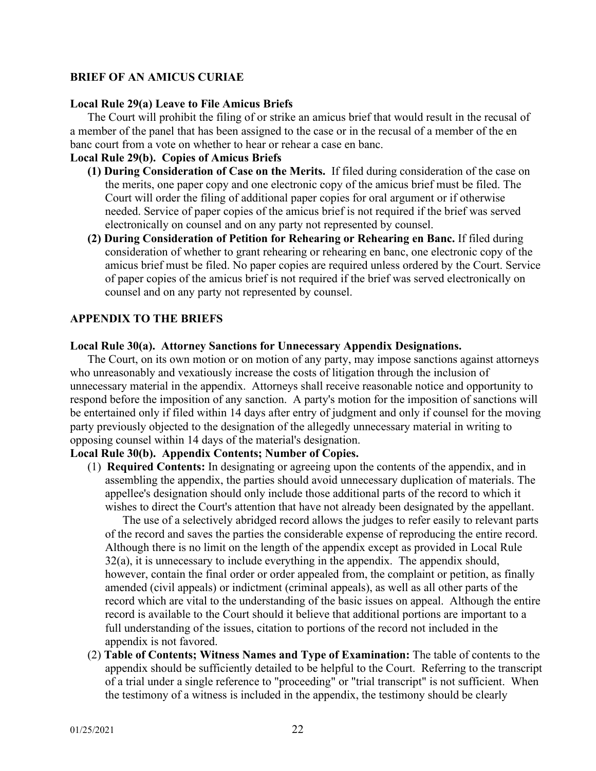### **BRIEF OF AN AMICUS CURIAE**

#### **Local Rule 29(a) Leave to File Amicus Briefs**

The Court will prohibit the filing of or strike an amicus brief that would result in the recusal of a member of the panel that has been assigned to the case or in the recusal of a member of the en banc court from a vote on whether to hear or rehear a case en banc.

### **Local Rule 29(b). Copies of Amicus Briefs**

- **(1) During Consideration of Case on the Merits.** If filed during consideration of the case on the merits, one paper copy and one electronic copy of the amicus brief must be filed. The Court will order the filing of additional paper copies for oral argument or if otherwise needed. Service of paper copies of the amicus brief is not required if the brief was served electronically on counsel and on any party not represented by counsel.
- **(2) During Consideration of Petition for Rehearing or Rehearing en Banc.** If filed during consideration of whether to grant rehearing or rehearing en banc, one electronic copy of the amicus brief must be filed. No paper copies are required unless ordered by the Court. Service of paper copies of the amicus brief is not required if the brief was served electronically on counsel and on any party not represented by counsel.

### **APPENDIX TO THE BRIEFS**

#### **Local Rule 30(a). Attorney Sanctions for Unnecessary Appendix Designations.**

The Court, on its own motion or on motion of any party, may impose sanctions against attorneys who unreasonably and vexatiously increase the costs of litigation through the inclusion of unnecessary material in the appendix. Attorneys shall receive reasonable notice and opportunity to respond before the imposition of any sanction. A party's motion for the imposition of sanctions will be entertained only if filed within 14 days after entry of judgment and only if counsel for the moving party previously objected to the designation of the allegedly unnecessary material in writing to opposing counsel within 14 days of the material's designation.

#### **Local Rule 30(b). Appendix Contents; Number of Copies.**

(1) **Required Contents:** In designating or agreeing upon the contents of the appendix, and in assembling the appendix, the parties should avoid unnecessary duplication of materials. The appellee's designation should only include those additional parts of the record to which it wishes to direct the Court's attention that have not already been designated by the appellant.

The use of a selectively abridged record allows the judges to refer easily to relevant parts of the record and saves the parties the considerable expense of reproducing the entire record. Although there is no limit on the length of the appendix except as provided in Local Rule 32(a), it is unnecessary to include everything in the appendix. The appendix should, however, contain the final order or order appealed from, the complaint or petition, as finally amended (civil appeals) or indictment (criminal appeals), as well as all other parts of the record which are vital to the understanding of the basic issues on appeal. Although the entire record is available to the Court should it believe that additional portions are important to a full understanding of the issues, citation to portions of the record not included in the appendix is not favored.

(2) **Table of Contents; Witness Names and Type of Examination:** The table of contents to the appendix should be sufficiently detailed to be helpful to the Court. Referring to the transcript of a trial under a single reference to "proceeding" or "trial transcript" is not sufficient. When the testimony of a witness is included in the appendix, the testimony should be clearly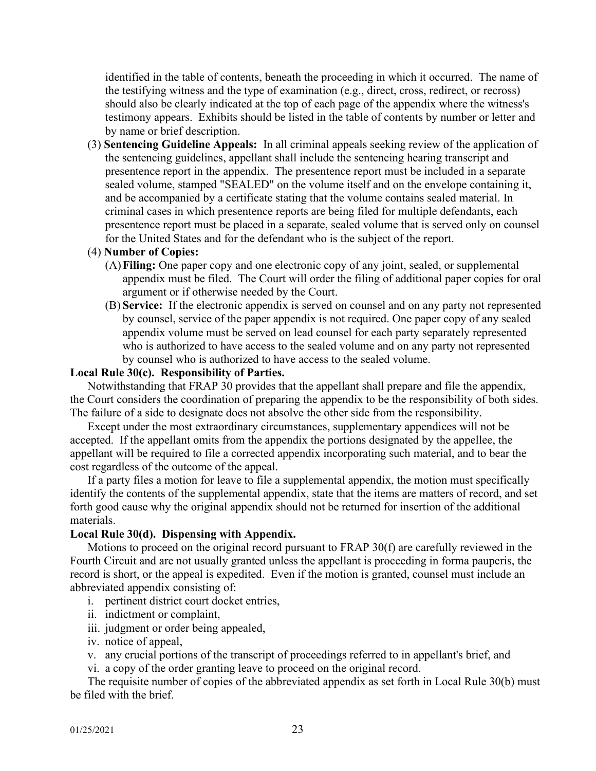identified in the table of contents, beneath the proceeding in which it occurred. The name of the testifying witness and the type of examination (e.g., direct, cross, redirect, or recross) should also be clearly indicated at the top of each page of the appendix where the witness's testimony appears. Exhibits should be listed in the table of contents by number or letter and by name or brief description.

(3) **Sentencing Guideline Appeals:** In all criminal appeals seeking review of the application of the sentencing guidelines, appellant shall include the sentencing hearing transcript and presentence report in the appendix. The presentence report must be included in a separate sealed volume, stamped "SEALED" on the volume itself and on the envelope containing it, and be accompanied by a certificate stating that the volume contains sealed material. In criminal cases in which presentence reports are being filed for multiple defendants, each presentence report must be placed in a separate, sealed volume that is served only on counsel for the United States and for the defendant who is the subject of the report.

### (4) **Number of Copies:**

- (A)**Filing:** One paper copy and one electronic copy of any joint, sealed, or supplemental appendix must be filed. The Court will order the filing of additional paper copies for oral argument or if otherwise needed by the Court.
- (B) **Service:** If the electronic appendix is served on counsel and on any party not represented by counsel, service of the paper appendix is not required. One paper copy of any sealed appendix volume must be served on lead counsel for each party separately represented who is authorized to have access to the sealed volume and on any party not represented by counsel who is authorized to have access to the sealed volume.

### **Local Rule 30(c). Responsibility of Parties.**

Notwithstanding that FRAP 30 provides that the appellant shall prepare and file the appendix, the Court considers the coordination of preparing the appendix to be the responsibility of both sides. The failure of a side to designate does not absolve the other side from the responsibility.

Except under the most extraordinary circumstances, supplementary appendices will not be accepted. If the appellant omits from the appendix the portions designated by the appellee, the appellant will be required to file a corrected appendix incorporating such material, and to bear the cost regardless of the outcome of the appeal.

If a party files a motion for leave to file a supplemental appendix, the motion must specifically identify the contents of the supplemental appendix, state that the items are matters of record, and set forth good cause why the original appendix should not be returned for insertion of the additional materials.

### **Local Rule 30(d). Dispensing with Appendix.**

Motions to proceed on the original record pursuant to FRAP 30(f) are carefully reviewed in the Fourth Circuit and are not usually granted unless the appellant is proceeding in forma pauperis, the record is short, or the appeal is expedited. Even if the motion is granted, counsel must include an abbreviated appendix consisting of:

- i. pertinent district court docket entries,
- ii. indictment or complaint,
- iii. judgment or order being appealed,
- iv. notice of appeal,
- v. any crucial portions of the transcript of proceedings referred to in appellant's brief, and
- vi. a copy of the order granting leave to proceed on the original record.

The requisite number of copies of the abbreviated appendix as set forth in Local Rule 30(b) must be filed with the brief.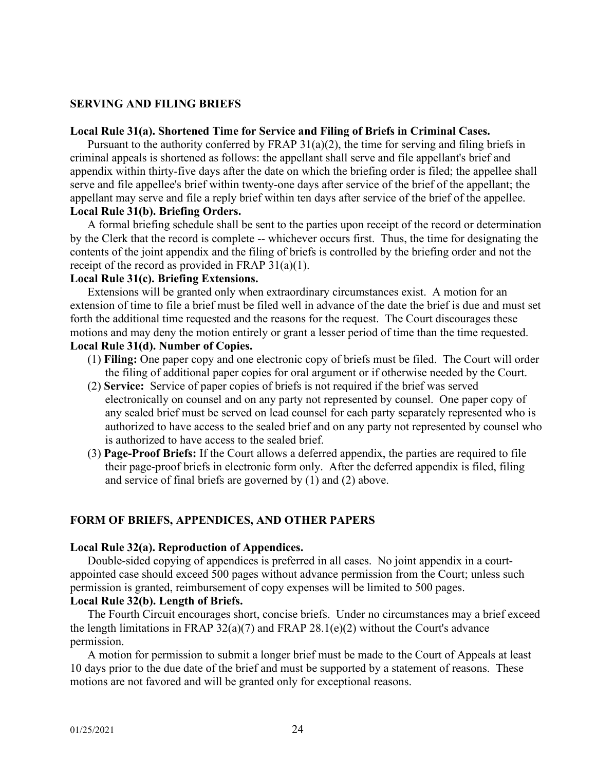### **SERVING AND FILING BRIEFS**

#### **Local Rule 31(a). Shortened Time for Service and Filing of Briefs in Criminal Cases.**

Pursuant to the authority conferred by FRAP 31(a)(2), the time for serving and filing briefs in criminal appeals is shortened as follows: the appellant shall serve and file appellant's brief and appendix within thirty-five days after the date on which the briefing order is filed; the appellee shall serve and file appellee's brief within twenty-one days after service of the brief of the appellant; the appellant may serve and file a reply brief within ten days after service of the brief of the appellee. **Local Rule 31(b). Briefing Orders.**

A formal briefing schedule shall be sent to the parties upon receipt of the record or determination by the Clerk that the record is complete -- whichever occurs first. Thus, the time for designating the contents of the joint appendix and the filing of briefs is controlled by the briefing order and not the receipt of the record as provided in FRAP 31(a)(1).

### **Local Rule 31(c). Briefing Extensions.**

Extensions will be granted only when extraordinary circumstances exist. A motion for an extension of time to file a brief must be filed well in advance of the date the brief is due and must set forth the additional time requested and the reasons for the request. The Court discourages these motions and may deny the motion entirely or grant a lesser period of time than the time requested.

#### **Local Rule 31(d). Number of Copies.**

- (1) **Filing:** One paper copy and one electronic copy of briefs must be filed. The Court will order the filing of additional paper copies for oral argument or if otherwise needed by the Court.
- (2) **Service:** Service of paper copies of briefs is not required if the brief was served electronically on counsel and on any party not represented by counsel. One paper copy of any sealed brief must be served on lead counsel for each party separately represented who is authorized to have access to the sealed brief and on any party not represented by counsel who is authorized to have access to the sealed brief.
- (3) **Page-Proof Briefs:** If the Court allows a deferred appendix, the parties are required to file their page-proof briefs in electronic form only. After the deferred appendix is filed, filing and service of final briefs are governed by (1) and (2) above.

#### **FORM OF BRIEFS, APPENDICES, AND OTHER PAPERS**

#### **Local Rule 32(a). Reproduction of Appendices.**

Double-sided copying of appendices is preferred in all cases. No joint appendix in a courtappointed case should exceed 500 pages without advance permission from the Court; unless such permission is granted, reimbursement of copy expenses will be limited to 500 pages.

### **Local Rule 32(b). Length of Briefs.**

The Fourth Circuit encourages short, concise briefs. Under no circumstances may a brief exceed the length limitations in FRAP  $32(a)(7)$  and FRAP  $28.1(e)(2)$  without the Court's advance permission.

A motion for permission to submit a longer brief must be made to the Court of Appeals at least 10 days prior to the due date of the brief and must be supported by a statement of reasons. These motions are not favored and will be granted only for exceptional reasons.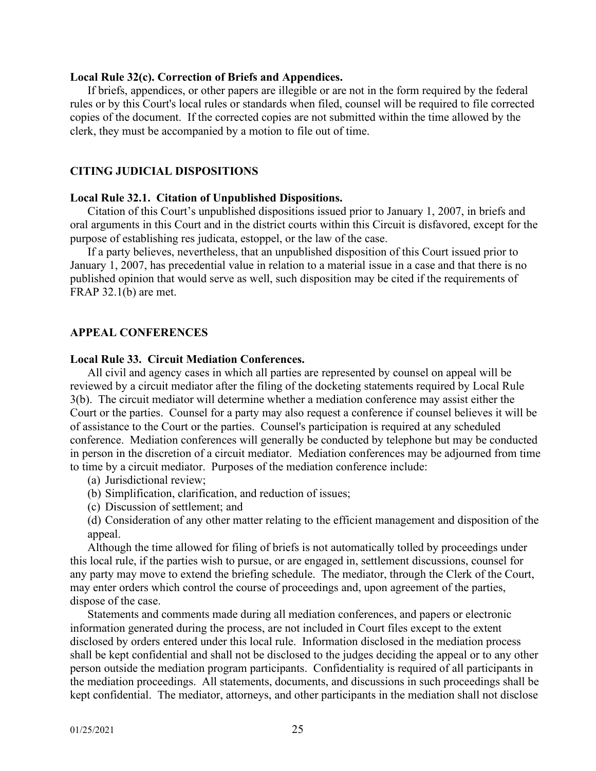#### **Local Rule 32(c). Correction of Briefs and Appendices.**

If briefs, appendices, or other papers are illegible or are not in the form required by the federal rules or by this Court's local rules or standards when filed, counsel will be required to file corrected copies of the document. If the corrected copies are not submitted within the time allowed by the clerk, they must be accompanied by a motion to file out of time.

### **CITING JUDICIAL DISPOSITIONS**

#### **Local Rule 32.1. Citation of Unpublished Dispositions.**

Citation of this Court's unpublished dispositions issued prior to January 1, 2007, in briefs and oral arguments in this Court and in the district courts within this Circuit is disfavored, except for the purpose of establishing res judicata, estoppel, or the law of the case.

If a party believes, nevertheless, that an unpublished disposition of this Court issued prior to January 1, 2007, has precedential value in relation to a material issue in a case and that there is no published opinion that would serve as well, such disposition may be cited if the requirements of FRAP 32.1(b) are met.

#### **APPEAL CONFERENCES**

### **Local Rule 33. Circuit Mediation Conferences.**

All civil and agency cases in which all parties are represented by counsel on appeal will be reviewed by a circuit mediator after the filing of the docketing statements required by Local Rule 3(b). The circuit mediator will determine whether a mediation conference may assist either the Court or the parties. Counsel for a party may also request a conference if counsel believes it will be of assistance to the Court or the parties. Counsel's participation is required at any scheduled conference. Mediation conferences will generally be conducted by telephone but may be conducted in person in the discretion of a circuit mediator. Mediation conferences may be adjourned from time to time by a circuit mediator. Purposes of the mediation conference include:

- (a) Jurisdictional review;
- (b) Simplification, clarification, and reduction of issues;
- (c) Discussion of settlement; and
- (d) Consideration of any other matter relating to the efficient management and disposition of the appeal.

Although the time allowed for filing of briefs is not automatically tolled by proceedings under this local rule, if the parties wish to pursue, or are engaged in, settlement discussions, counsel for any party may move to extend the briefing schedule. The mediator, through the Clerk of the Court, may enter orders which control the course of proceedings and, upon agreement of the parties, dispose of the case.

Statements and comments made during all mediation conferences, and papers or electronic information generated during the process, are not included in Court files except to the extent disclosed by orders entered under this local rule. Information disclosed in the mediation process shall be kept confidential and shall not be disclosed to the judges deciding the appeal or to any other person outside the mediation program participants. Confidentiality is required of all participants in the mediation proceedings. All statements, documents, and discussions in such proceedings shall be kept confidential. The mediator, attorneys, and other participants in the mediation shall not disclose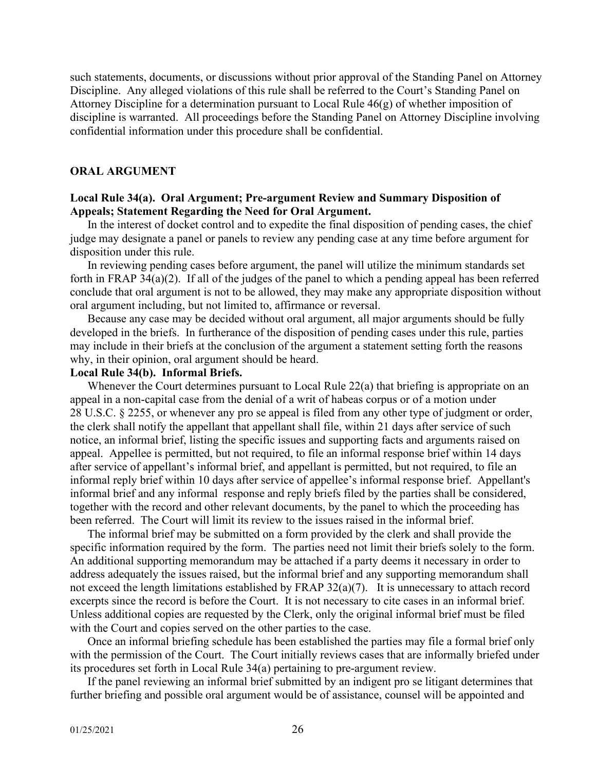such statements, documents, or discussions without prior approval of the Standing Panel on Attorney Discipline. Any alleged violations of this rule shall be referred to the Court's Standing Panel on Attorney Discipline for a determination pursuant to Local Rule 46(g) of whether imposition of discipline is warranted. All proceedings before the Standing Panel on Attorney Discipline involving confidential information under this procedure shall be confidential.

### **ORAL ARGUMENT**

### **Local Rule 34(a). Oral Argument; Pre-argument Review and Summary Disposition of Appeals; Statement Regarding the Need for Oral Argument.**

In the interest of docket control and to expedite the final disposition of pending cases, the chief judge may designate a panel or panels to review any pending case at any time before argument for disposition under this rule.

In reviewing pending cases before argument, the panel will utilize the minimum standards set forth in FRAP 34(a)(2). If all of the judges of the panel to which a pending appeal has been referred conclude that oral argument is not to be allowed, they may make any appropriate disposition without oral argument including, but not limited to, affirmance or reversal.

Because any case may be decided without oral argument, all major arguments should be fully developed in the briefs. In furtherance of the disposition of pending cases under this rule, parties may include in their briefs at the conclusion of the argument a statement setting forth the reasons why, in their opinion, oral argument should be heard.

### **Local Rule 34(b). Informal Briefs.**

Whenever the Court determines pursuant to Local Rule 22(a) that briefing is appropriate on an appeal in a non-capital case from the denial of a writ of habeas corpus or of a motion under 28 U.S.C. § 2255, or whenever any pro se appeal is filed from any other type of judgment or order, the clerk shall notify the appellant that appellant shall file, within 21 days after service of such notice, an informal brief, listing the specific issues and supporting facts and arguments raised on appeal. Appellee is permitted, but not required, to file an informal response brief within 14 days after service of appellant's informal brief, and appellant is permitted, but not required, to file an informal reply brief within 10 days after service of appellee's informal response brief. Appellant's informal brief and any informal response and reply briefs filed by the parties shall be considered, together with the record and other relevant documents, by the panel to which the proceeding has been referred. The Court will limit its review to the issues raised in the informal brief.

The informal brief may be submitted on a form provided by the clerk and shall provide the specific information required by the form. The parties need not limit their briefs solely to the form. An additional supporting memorandum may be attached if a party deems it necessary in order to address adequately the issues raised, but the informal brief and any supporting memorandum shall not exceed the length limitations established by FRAP 32(a)(7). It is unnecessary to attach record excerpts since the record is before the Court. It is not necessary to cite cases in an informal brief. Unless additional copies are requested by the Clerk, only the original informal brief must be filed with the Court and copies served on the other parties to the case.

Once an informal briefing schedule has been established the parties may file a formal brief only with the permission of the Court. The Court initially reviews cases that are informally briefed under its procedures set forth in Local Rule 34(a) pertaining to pre-argument review.

If the panel reviewing an informal brief submitted by an indigent pro se litigant determines that further briefing and possible oral argument would be of assistance, counsel will be appointed and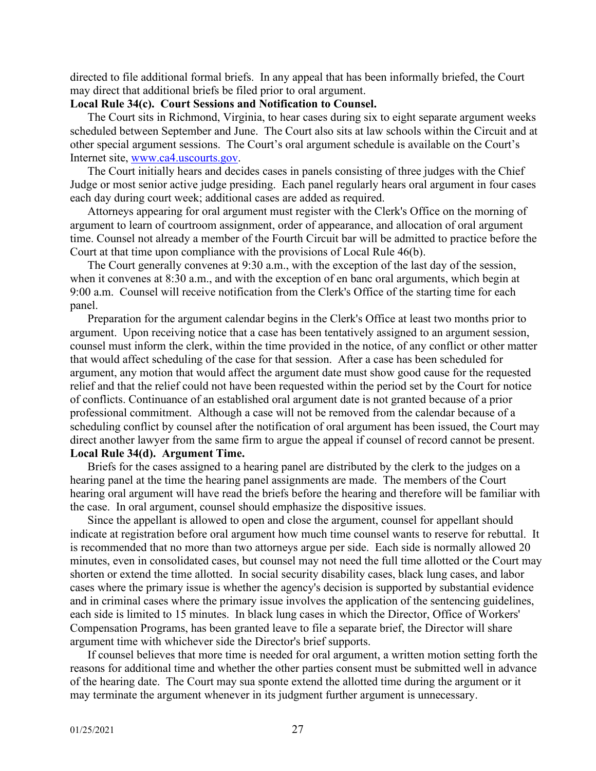directed to file additional formal briefs. In any appeal that has been informally briefed, the Court may direct that additional briefs be filed prior to oral argument.

#### **Local Rule 34(c). Court Sessions and Notification to Counsel.**

The Court sits in Richmond, Virginia, to hear cases during six to eight separate argument weeks scheduled between September and June. The Court also sits at law schools within the Circuit and at other special argument sessions. The Court's oral argument schedule is available on the Court's Internet site, [www.ca4.uscourts.gov.](http://www.ca4.uscourts.gov/)

The Court initially hears and decides cases in panels consisting of three judges with the Chief Judge or most senior active judge presiding. Each panel regularly hears oral argument in four cases each day during court week; additional cases are added as required.

Attorneys appearing for oral argument must register with the Clerk's Office on the morning of argument to learn of courtroom assignment, order of appearance, and allocation of oral argument time. Counsel not already a member of the Fourth Circuit bar will be admitted to practice before the Court at that time upon compliance with the provisions of Local Rule 46(b).

The Court generally convenes at 9:30 a.m., with the exception of the last day of the session, when it convenes at 8:30 a.m., and with the exception of en banc oral arguments, which begin at 9:00 a.m. Counsel will receive notification from the Clerk's Office of the starting time for each panel.

Preparation for the argument calendar begins in the Clerk's Office at least two months prior to argument. Upon receiving notice that a case has been tentatively assigned to an argument session, counsel must inform the clerk, within the time provided in the notice, of any conflict or other matter that would affect scheduling of the case for that session. After a case has been scheduled for argument, any motion that would affect the argument date must show good cause for the requested relief and that the relief could not have been requested within the period set by the Court for notice of conflicts. Continuance of an established oral argument date is not granted because of a prior professional commitment. Although a case will not be removed from the calendar because of a scheduling conflict by counsel after the notification of oral argument has been issued, the Court may direct another lawyer from the same firm to argue the appeal if counsel of record cannot be present. **Local Rule 34(d). Argument Time.**

Briefs for the cases assigned to a hearing panel are distributed by the clerk to the judges on a hearing panel at the time the hearing panel assignments are made. The members of the Court hearing oral argument will have read the briefs before the hearing and therefore will be familiar with the case. In oral argument, counsel should emphasize the dispositive issues.

Since the appellant is allowed to open and close the argument, counsel for appellant should indicate at registration before oral argument how much time counsel wants to reserve for rebuttal. It is recommended that no more than two attorneys argue per side. Each side is normally allowed 20 minutes, even in consolidated cases, but counsel may not need the full time allotted or the Court may shorten or extend the time allotted. In social security disability cases, black lung cases, and labor cases where the primary issue is whether the agency's decision is supported by substantial evidence and in criminal cases where the primary issue involves the application of the sentencing guidelines, each side is limited to 15 minutes. In black lung cases in which the Director, Office of Workers' Compensation Programs, has been granted leave to file a separate brief, the Director will share argument time with whichever side the Director's brief supports.

If counsel believes that more time is needed for oral argument, a written motion setting forth the reasons for additional time and whether the other parties consent must be submitted well in advance of the hearing date. The Court may sua sponte extend the allotted time during the argument or it may terminate the argument whenever in its judgment further argument is unnecessary.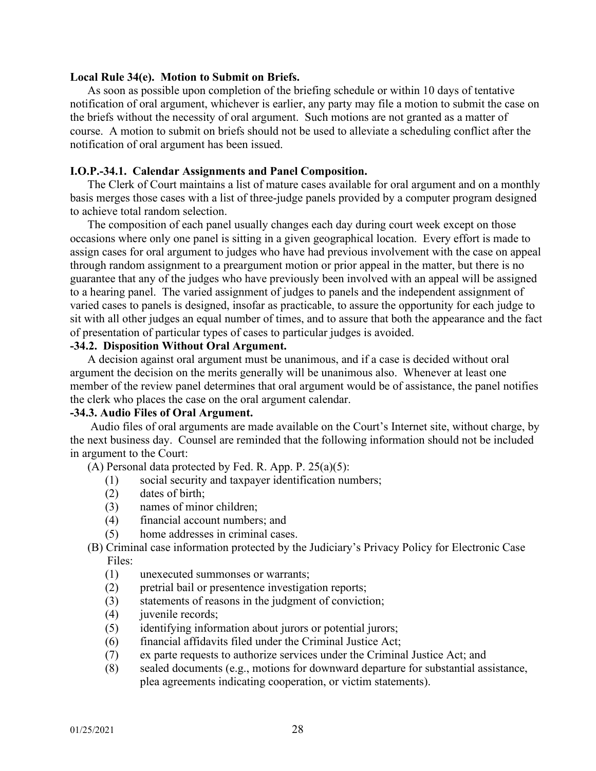#### **Local Rule 34(e). Motion to Submit on Briefs.**

As soon as possible upon completion of the briefing schedule or within 10 days of tentative notification of oral argument, whichever is earlier, any party may file a motion to submit the case on the briefs without the necessity of oral argument. Such motions are not granted as a matter of course. A motion to submit on briefs should not be used to alleviate a scheduling conflict after the notification of oral argument has been issued.

### **I.O.P.-34.1. Calendar Assignments and Panel Composition.**

The Clerk of Court maintains a list of mature cases available for oral argument and on a monthly basis merges those cases with a list of three-judge panels provided by a computer program designed to achieve total random selection.

The composition of each panel usually changes each day during court week except on those occasions where only one panel is sitting in a given geographical location. Every effort is made to assign cases for oral argument to judges who have had previous involvement with the case on appeal through random assignment to a preargument motion or prior appeal in the matter, but there is no guarantee that any of the judges who have previously been involved with an appeal will be assigned to a hearing panel. The varied assignment of judges to panels and the independent assignment of varied cases to panels is designed, insofar as practicable, to assure the opportunity for each judge to sit with all other judges an equal number of times, and to assure that both the appearance and the fact of presentation of particular types of cases to particular judges is avoided.

### **-34.2. Disposition Without Oral Argument.**

A decision against oral argument must be unanimous, and if a case is decided without oral argument the decision on the merits generally will be unanimous also. Whenever at least one member of the review panel determines that oral argument would be of assistance, the panel notifies the clerk who places the case on the oral argument calendar.

### **-34.3. Audio Files of Oral Argument.**

Audio files of oral arguments are made available on the Court's Internet site, without charge, by the next business day. Counsel are reminded that the following information should not be included in argument to the Court:

(A) Personal data protected by Fed. R. App. P.  $25(a)(5)$ :

- (1) social security and taxpayer identification numbers;
- (2) dates of birth;
- (3) names of minor children;
- (4) financial account numbers; and
- (5) home addresses in criminal cases.
- (B) Criminal case information protected by the Judiciary's Privacy Policy for Electronic Case Files:
	- (1) unexecuted summonses or warrants;
	- (2) pretrial bail or presentence investigation reports;
	- (3) statements of reasons in the judgment of conviction;
	- (4) juvenile records;
	- (5) identifying information about jurors or potential jurors;
	- $(6)$  financial affidavits filed under the Criminal Justice Act;
	- (7) ex parte requests to authorize services under the Criminal Justice Act; and
	- (8) sealed documents (e.g., motions for downward departure for substantial assistance, plea agreements indicating cooperation, or victim statements).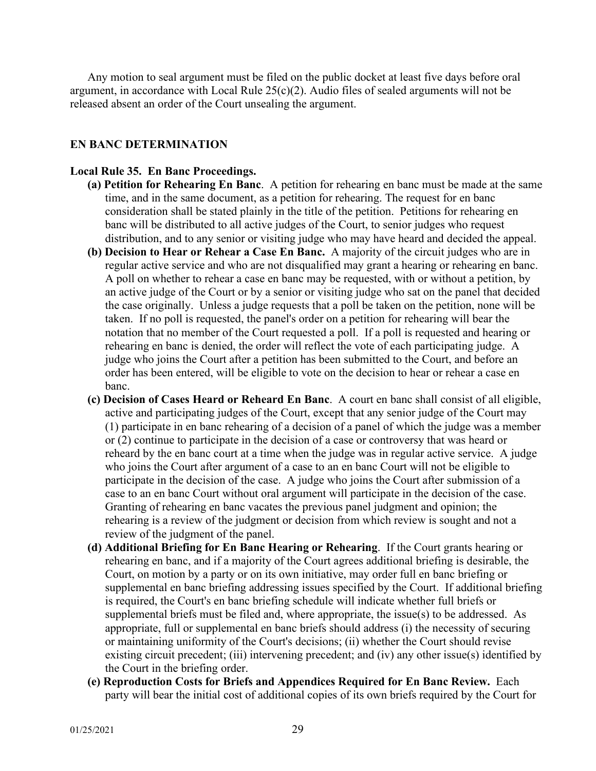Any motion to seal argument must be filed on the public docket at least five days before oral argument, in accordance with Local Rule  $25(c)(2)$ . Audio files of sealed arguments will not be released absent an order of the Court unsealing the argument.

### **EN BANC DETERMINATION**

### **Local Rule 35. En Banc Proceedings.**

- **(a) Petition for Rehearing En Banc**. A petition for rehearing en banc must be made at the same time, and in the same document, as a petition for rehearing. The request for en banc consideration shall be stated plainly in the title of the petition. Petitions for rehearing en banc will be distributed to all active judges of the Court, to senior judges who request distribution, and to any senior or visiting judge who may have heard and decided the appeal.
- **(b) Decision to Hear or Rehear a Case En Banc.** A majority of the circuit judges who are in regular active service and who are not disqualified may grant a hearing or rehearing en banc. A poll on whether to rehear a case en banc may be requested, with or without a petition, by an active judge of the Court or by a senior or visiting judge who sat on the panel that decided the case originally. Unless a judge requests that a poll be taken on the petition, none will be taken. If no poll is requested, the panel's order on a petition for rehearing will bear the notation that no member of the Court requested a poll. If a poll is requested and hearing or rehearing en banc is denied, the order will reflect the vote of each participating judge. A judge who joins the Court after a petition has been submitted to the Court, and before an order has been entered, will be eligible to vote on the decision to hear or rehear a case en banc.
- **(c) Decision of Cases Heard or Reheard En Banc**. A court en banc shall consist of all eligible, active and participating judges of the Court, except that any senior judge of the Court may (1) participate in en banc rehearing of a decision of a panel of which the judge was a member or (2) continue to participate in the decision of a case or controversy that was heard or reheard by the en banc court at a time when the judge was in regular active service. A judge who joins the Court after argument of a case to an en banc Court will not be eligible to participate in the decision of the case. A judge who joins the Court after submission of a case to an en banc Court without oral argument will participate in the decision of the case. Granting of rehearing en banc vacates the previous panel judgment and opinion; the rehearing is a review of the judgment or decision from which review is sought and not a review of the judgment of the panel.
- **(d) Additional Briefing for En Banc Hearing or Rehearing**. If the Court grants hearing or rehearing en banc, and if a majority of the Court agrees additional briefing is desirable, the Court, on motion by a party or on its own initiative, may order full en banc briefing or supplemental en banc briefing addressing issues specified by the Court. If additional briefing is required, the Court's en banc briefing schedule will indicate whether full briefs or supplemental briefs must be filed and, where appropriate, the issue(s) to be addressed. As appropriate, full or supplemental en banc briefs should address (i) the necessity of securing or maintaining uniformity of the Court's decisions; (ii) whether the Court should revise existing circuit precedent; (iii) intervening precedent; and (iv) any other issue(s) identified by the Court in the briefing order.
- **(e) Reproduction Costs for Briefs and Appendices Required for En Banc Review.** Each party will bear the initial cost of additional copies of its own briefs required by the Court for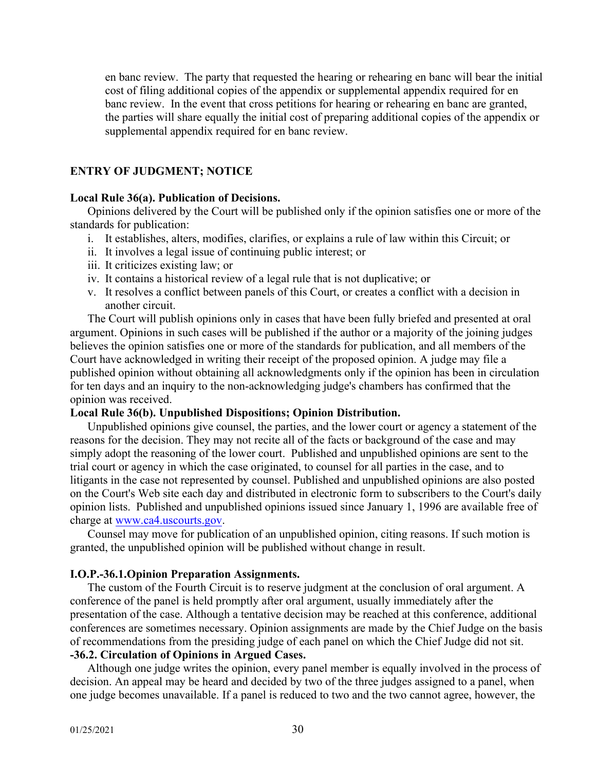en banc review. The party that requested the hearing or rehearing en banc will bear the initial cost of filing additional copies of the appendix or supplemental appendix required for en banc review. In the event that cross petitions for hearing or rehearing en banc are granted, the parties will share equally the initial cost of preparing additional copies of the appendix or supplemental appendix required for en banc review.

### **ENTRY OF JUDGMENT; NOTICE**

#### **Local Rule 36(a). Publication of Decisions.**

Opinions delivered by the Court will be published only if the opinion satisfies one or more of the standards for publication:

- i. It establishes, alters, modifies, clarifies, or explains a rule of law within this Circuit; or
- ii. It involves a legal issue of continuing public interest; or
- iii. It criticizes existing law; or
- iv. It contains a historical review of a legal rule that is not duplicative; or
- v. It resolves a conflict between panels of this Court, or creates a conflict with a decision in another circuit.

The Court will publish opinions only in cases that have been fully briefed and presented at oral argument. Opinions in such cases will be published if the author or a majority of the joining judges believes the opinion satisfies one or more of the standards for publication, and all members of the Court have acknowledged in writing their receipt of the proposed opinion. A judge may file a published opinion without obtaining all acknowledgments only if the opinion has been in circulation for ten days and an inquiry to the non-acknowledging judge's chambers has confirmed that the opinion was received.

### **Local Rule 36(b). Unpublished Dispositions; Opinion Distribution.**

Unpublished opinions give counsel, the parties, and the lower court or agency a statement of the reasons for the decision. They may not recite all of the facts or background of the case and may simply adopt the reasoning of the lower court. Published and unpublished opinions are sent to the trial court or agency in which the case originated, to counsel for all parties in the case, and to litigants in the case not represented by counsel. Published and unpublished opinions are also posted on the Court's Web site each day and distributed in electronic form to subscribers to the Court's daily opinion lists. Published and unpublished opinions issued since January 1, 1996 are available free of charge at [www.ca4.uscourts.gov.](http://www.ca4.uscourts.gov/)

Counsel may move for publication of an unpublished opinion, citing reasons. If such motion is granted, the unpublished opinion will be published without change in result.

#### **I.O.P.-36.1.Opinion Preparation Assignments.**

The custom of the Fourth Circuit is to reserve judgment at the conclusion of oral argument. A conference of the panel is held promptly after oral argument, usually immediately after the presentation of the case. Although a tentative decision may be reached at this conference, additional conferences are sometimes necessary. Opinion assignments are made by the Chief Judge on the basis of recommendations from the presiding judge of each panel on which the Chief Judge did not sit. **-36.2. Circulation of Opinions in Argued Cases.**

Although one judge writes the opinion, every panel member is equally involved in the process of decision. An appeal may be heard and decided by two of the three judges assigned to a panel, when one judge becomes unavailable. If a panel is reduced to two and the two cannot agree, however, the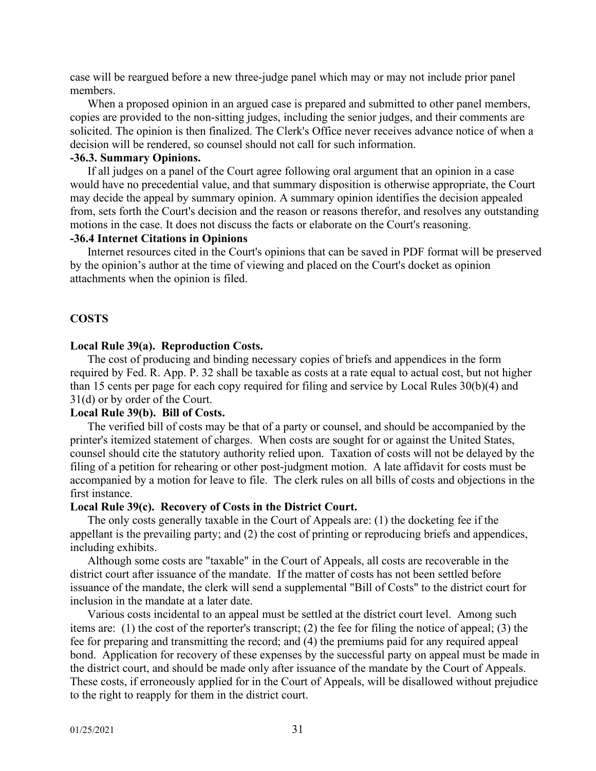case will be reargued before a new three-judge panel which may or may not include prior panel members.

When a proposed opinion in an argued case is prepared and submitted to other panel members, copies are provided to the non-sitting judges, including the senior judges, and their comments are solicited. The opinion is then finalized. The Clerk's Office never receives advance notice of when a decision will be rendered, so counsel should not call for such information.

#### **-36.3. Summary Opinions.**

If all judges on a panel of the Court agree following oral argument that an opinion in a case would have no precedential value, and that summary disposition is otherwise appropriate, the Court may decide the appeal by summary opinion. A summary opinion identifies the decision appealed from, sets forth the Court's decision and the reason or reasons therefor, and resolves any outstanding motions in the case. It does not discuss the facts or elaborate on the Court's reasoning.

#### **-36.4 Internet Citations in Opinions**

Internet resources cited in the Court's opinions that can be saved in PDF format will be preserved by the opinion's author at the time of viewing and placed on the Court's docket as opinion attachments when the opinion is filed.

#### **COSTS**

#### **Local Rule 39(a). Reproduction Costs.**

The cost of producing and binding necessary copies of briefs and appendices in the form required by Fed. R. App. P. 32 shall be taxable as costs at a rate equal to actual cost, but not higher than 15 cents per page for each copy required for filing and service by Local Rules 30(b)(4) and 31(d) or by order of the Court.

### **Local Rule 39(b). Bill of Costs.**

The verified bill of costs may be that of a party or counsel, and should be accompanied by the printer's itemized statement of charges. When costs are sought for or against the United States, counsel should cite the statutory authority relied upon. Taxation of costs will not be delayed by the filing of a petition for rehearing or other post-judgment motion. A late affidavit for costs must be accompanied by a motion for leave to file. The clerk rules on all bills of costs and objections in the first instance.

#### **Local Rule 39(c). Recovery of Costs in the District Court.**

The only costs generally taxable in the Court of Appeals are: (1) the docketing fee if the appellant is the prevailing party; and (2) the cost of printing or reproducing briefs and appendices, including exhibits.

Although some costs are "taxable" in the Court of Appeals, all costs are recoverable in the district court after issuance of the mandate. If the matter of costs has not been settled before issuance of the mandate, the clerk will send a supplemental "Bill of Costs" to the district court for inclusion in the mandate at a later date.

Various costs incidental to an appeal must be settled at the district court level. Among such items are: (1) the cost of the reporter's transcript; (2) the fee for filing the notice of appeal; (3) the fee for preparing and transmitting the record; and (4) the premiums paid for any required appeal bond. Application for recovery of these expenses by the successful party on appeal must be made in the district court, and should be made only after issuance of the mandate by the Court of Appeals. These costs, if erroneously applied for in the Court of Appeals, will be disallowed without prejudice to the right to reapply for them in the district court.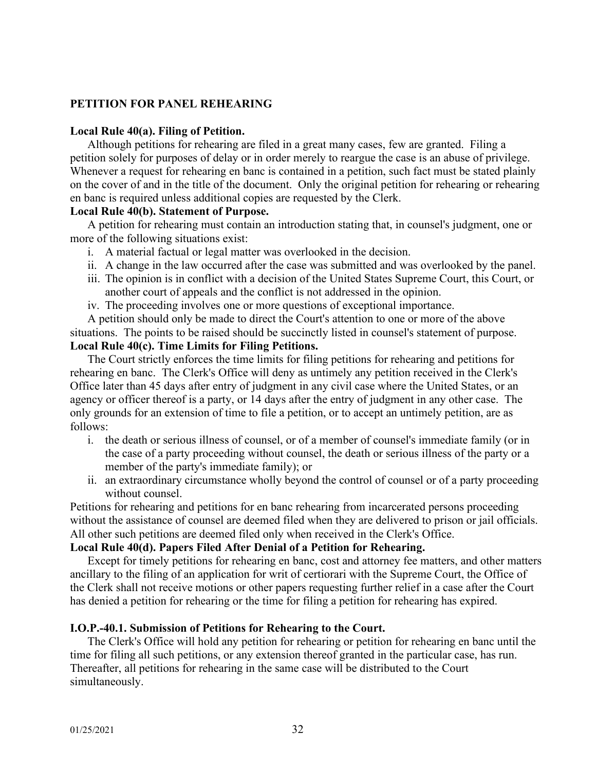### **PETITION FOR PANEL REHEARING**

### **Local Rule 40(a). Filing of Petition.**

Although petitions for rehearing are filed in a great many cases, few are granted. Filing a petition solely for purposes of delay or in order merely to reargue the case is an abuse of privilege. Whenever a request for rehearing en banc is contained in a petition, such fact must be stated plainly on the cover of and in the title of the document. Only the original petition for rehearing or rehearing en banc is required unless additional copies are requested by the Clerk.

### **Local Rule 40(b). Statement of Purpose.**

A petition for rehearing must contain an introduction stating that, in counsel's judgment, one or more of the following situations exist:

- i. A material factual or legal matter was overlooked in the decision.
- ii. A change in the law occurred after the case was submitted and was overlooked by the panel.
- iii. The opinion is in conflict with a decision of the United States Supreme Court, this Court, or another court of appeals and the conflict is not addressed in the opinion.
- iv. The proceeding involves one or more questions of exceptional importance.

A petition should only be made to direct the Court's attention to one or more of the above situations. The points to be raised should be succinctly listed in counsel's statement of purpose.

# **Local Rule 40(c). Time Limits for Filing Petitions.**

The Court strictly enforces the time limits for filing petitions for rehearing and petitions for rehearing en banc. The Clerk's Office will deny as untimely any petition received in the Clerk's Office later than 45 days after entry of judgment in any civil case where the United States, or an agency or officer thereof is a party, or 14 days after the entry of judgment in any other case. The only grounds for an extension of time to file a petition, or to accept an untimely petition, are as follows:

- i. the death or serious illness of counsel, or of a member of counsel's immediate family (or in the case of a party proceeding without counsel, the death or serious illness of the party or a member of the party's immediate family); or
- ii. an extraordinary circumstance wholly beyond the control of counsel or of a party proceeding without counsel.

Petitions for rehearing and petitions for en banc rehearing from incarcerated persons proceeding without the assistance of counsel are deemed filed when they are delivered to prison or jail officials. All other such petitions are deemed filed only when received in the Clerk's Office.

### **Local Rule 40(d). Papers Filed After Denial of a Petition for Rehearing.**

Except for timely petitions for rehearing en banc, cost and attorney fee matters, and other matters ancillary to the filing of an application for writ of certiorari with the Supreme Court, the Office of the Clerk shall not receive motions or other papers requesting further relief in a case after the Court has denied a petition for rehearing or the time for filing a petition for rehearing has expired.

### **I.O.P.-40.1. Submission of Petitions for Rehearing to the Court.**

The Clerk's Office will hold any petition for rehearing or petition for rehearing en banc until the time for filing all such petitions, or any extension thereof granted in the particular case, has run. Thereafter, all petitions for rehearing in the same case will be distributed to the Court simultaneously.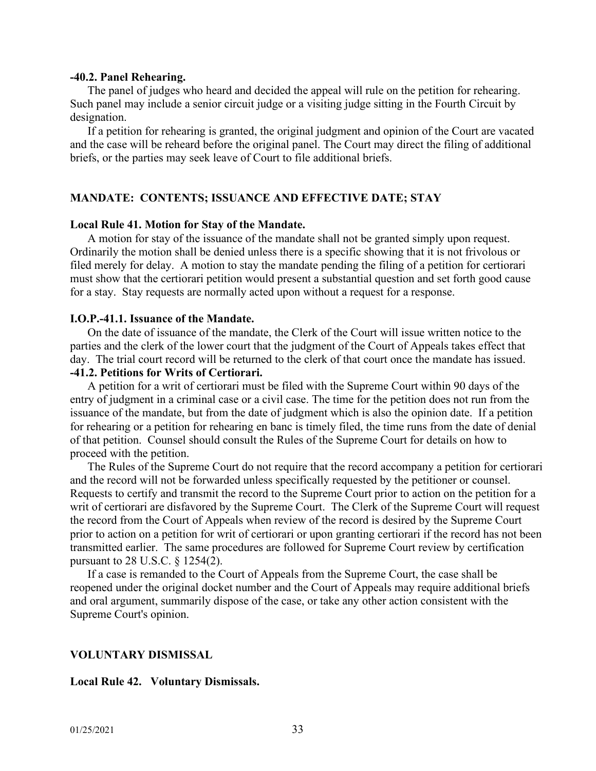#### **-40.2. Panel Rehearing.**

The panel of judges who heard and decided the appeal will rule on the petition for rehearing. Such panel may include a senior circuit judge or a visiting judge sitting in the Fourth Circuit by designation.

If a petition for rehearing is granted, the original judgment and opinion of the Court are vacated and the case will be reheard before the original panel. The Court may direct the filing of additional briefs, or the parties may seek leave of Court to file additional briefs.

### **MANDATE: CONTENTS; ISSUANCE AND EFFECTIVE DATE; STAY**

#### **Local Rule 41. Motion for Stay of the Mandate.**

A motion for stay of the issuance of the mandate shall not be granted simply upon request. Ordinarily the motion shall be denied unless there is a specific showing that it is not frivolous or filed merely for delay. A motion to stay the mandate pending the filing of a petition for certiorari must show that the certiorari petition would present a substantial question and set forth good cause for a stay. Stay requests are normally acted upon without a request for a response.

#### **I.O.P.-41.1. Issuance of the Mandate.**

On the date of issuance of the mandate, the Clerk of the Court will issue written notice to the parties and the clerk of the lower court that the judgment of the Court of Appeals takes effect that day. The trial court record will be returned to the clerk of that court once the mandate has issued.

### **-41.2. Petitions for Writs of Certiorari.**

A petition for a writ of certiorari must be filed with the Supreme Court within 90 days of the entry of judgment in a criminal case or a civil case. The time for the petition does not run from the issuance of the mandate, but from the date of judgment which is also the opinion date. If a petition for rehearing or a petition for rehearing en banc is timely filed, the time runs from the date of denial of that petition. Counsel should consult the Rules of the Supreme Court for details on how to proceed with the petition.

The Rules of the Supreme Court do not require that the record accompany a petition for certiorari and the record will not be forwarded unless specifically requested by the petitioner or counsel. Requests to certify and transmit the record to the Supreme Court prior to action on the petition for a writ of certiorari are disfavored by the Supreme Court. The Clerk of the Supreme Court will request the record from the Court of Appeals when review of the record is desired by the Supreme Court prior to action on a petition for writ of certiorari or upon granting certiorari if the record has not been transmitted earlier. The same procedures are followed for Supreme Court review by certification pursuant to 28 U.S.C. § 1254(2).

If a case is remanded to the Court of Appeals from the Supreme Court, the case shall be reopened under the original docket number and the Court of Appeals may require additional briefs and oral argument, summarily dispose of the case, or take any other action consistent with the Supreme Court's opinion.

### **VOLUNTARY DISMISSAL**

#### **Local Rule 42. Voluntary Dismissals.**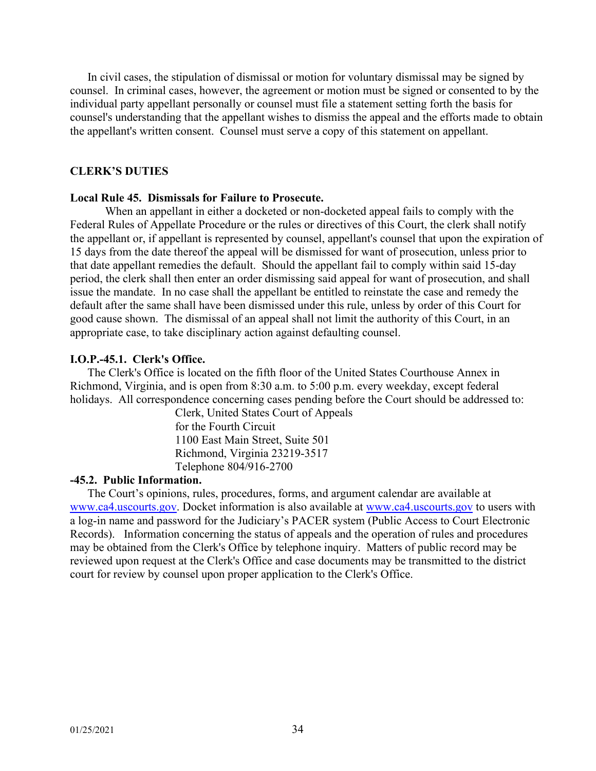In civil cases, the stipulation of dismissal or motion for voluntary dismissal may be signed by counsel. In criminal cases, however, the agreement or motion must be signed or consented to by the individual party appellant personally or counsel must file a statement setting forth the basis for counsel's understanding that the appellant wishes to dismiss the appeal and the efforts made to obtain the appellant's written consent. Counsel must serve a copy of this statement on appellant.

### **CLERK'S DUTIES**

### **Local Rule 45. Dismissals for Failure to Prosecute.**

When an appellant in either a docketed or non-docketed appeal fails to comply with the Federal Rules of Appellate Procedure or the rules or directives of this Court, the clerk shall notify the appellant or, if appellant is represented by counsel, appellant's counsel that upon the expiration of 15 days from the date thereof the appeal will be dismissed for want of prosecution, unless prior to that date appellant remedies the default. Should the appellant fail to comply within said 15-day period, the clerk shall then enter an order dismissing said appeal for want of prosecution, and shall issue the mandate. In no case shall the appellant be entitled to reinstate the case and remedy the default after the same shall have been dismissed under this rule, unless by order of this Court for good cause shown. The dismissal of an appeal shall not limit the authority of this Court, in an appropriate case, to take disciplinary action against defaulting counsel.

### **I.O.P.-45.1. Clerk's Office.**

The Clerk's Office is located on the fifth floor of the United States Courthouse Annex in Richmond, Virginia, and is open from 8:30 a.m. to 5:00 p.m. every weekday, except federal holidays. All correspondence concerning cases pending before the Court should be addressed to:

Clerk, United States Court of Appeals for the Fourth Circuit 1100 East Main Street, Suite 501 Richmond, Virginia 23219-3517 Telephone 804/916-2700

### **-45.2. Public Information.**

The Court's opinions, rules, procedures, forms, and argument calendar are available at [www.ca4.uscourts.gov.](http://www.ca4.uscourts.gov/) Docket information is also available at [www.ca4.uscourts.gov](http://www.ca4.uscourts.gov/) to users with a log-in name and password for the Judiciary's PACER system (Public Access to Court Electronic Records). Information concerning the status of appeals and the operation of rules and procedures may be obtained from the Clerk's Office by telephone inquiry. Matters of public record may be reviewed upon request at the Clerk's Office and case documents may be transmitted to the district court for review by counsel upon proper application to the Clerk's Office.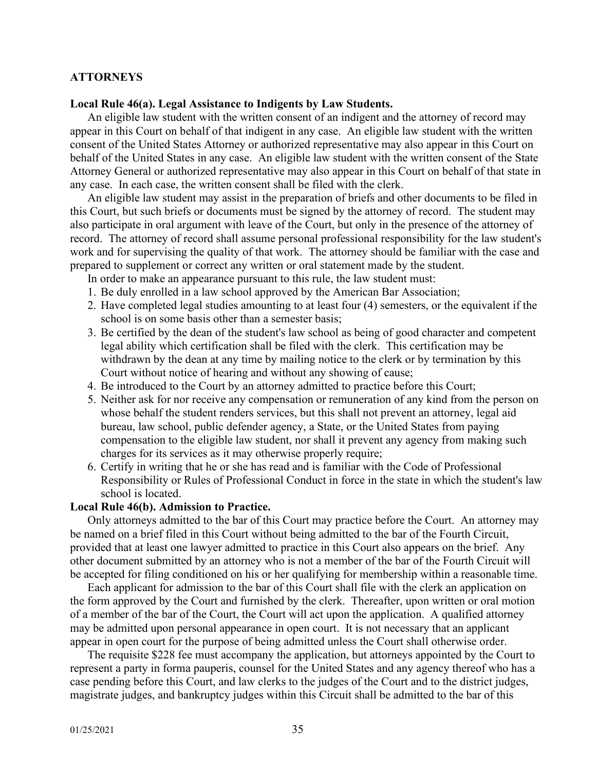### **ATTORNEYS**

#### **Local Rule 46(a). Legal Assistance to Indigents by Law Students.**

An eligible law student with the written consent of an indigent and the attorney of record may appear in this Court on behalf of that indigent in any case. An eligible law student with the written consent of the United States Attorney or authorized representative may also appear in this Court on behalf of the United States in any case. An eligible law student with the written consent of the State Attorney General or authorized representative may also appear in this Court on behalf of that state in any case. In each case, the written consent shall be filed with the clerk.

An eligible law student may assist in the preparation of briefs and other documents to be filed in this Court, but such briefs or documents must be signed by the attorney of record. The student may also participate in oral argument with leave of the Court, but only in the presence of the attorney of record. The attorney of record shall assume personal professional responsibility for the law student's work and for supervising the quality of that work. The attorney should be familiar with the case and prepared to supplement or correct any written or oral statement made by the student.

In order to make an appearance pursuant to this rule, the law student must:

- 1. Be duly enrolled in a law school approved by the American Bar Association;
- 2. Have completed legal studies amounting to at least four (4) semesters, or the equivalent if the school is on some basis other than a semester basis;
- 3. Be certified by the dean of the student's law school as being of good character and competent legal ability which certification shall be filed with the clerk. This certification may be withdrawn by the dean at any time by mailing notice to the clerk or by termination by this Court without notice of hearing and without any showing of cause;
- 4. Be introduced to the Court by an attorney admitted to practice before this Court;
- 5. Neither ask for nor receive any compensation or remuneration of any kind from the person on whose behalf the student renders services, but this shall not prevent an attorney, legal aid bureau, law school, public defender agency, a State, or the United States from paying compensation to the eligible law student, nor shall it prevent any agency from making such charges for its services as it may otherwise properly require;
- 6. Certify in writing that he or she has read and is familiar with the Code of Professional Responsibility or Rules of Professional Conduct in force in the state in which the student's law school is located.

#### **Local Rule 46(b). Admission to Practice.**

Only attorneys admitted to the bar of this Court may practice before the Court. An attorney may be named on a brief filed in this Court without being admitted to the bar of the Fourth Circuit, provided that at least one lawyer admitted to practice in this Court also appears on the brief. Any other document submitted by an attorney who is not a member of the bar of the Fourth Circuit will be accepted for filing conditioned on his or her qualifying for membership within a reasonable time.

Each applicant for admission to the bar of this Court shall file with the clerk an application on the form approved by the Court and furnished by the clerk. Thereafter, upon written or oral motion of a member of the bar of the Court, the Court will act upon the application. A qualified attorney may be admitted upon personal appearance in open court. It is not necessary that an applicant appear in open court for the purpose of being admitted unless the Court shall otherwise order.

The requisite \$228 fee must accompany the application, but attorneys appointed by the Court to represent a party in forma pauperis, counsel for the United States and any agency thereof who has a case pending before this Court, and law clerks to the judges of the Court and to the district judges, magistrate judges, and bankruptcy judges within this Circuit shall be admitted to the bar of this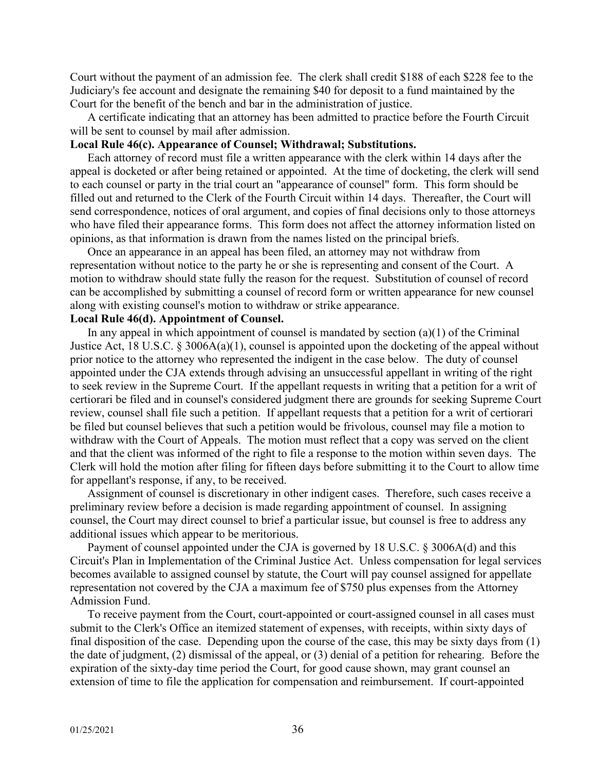Court without the payment of an admission fee. The clerk shall credit \$188 of each \$228 fee to the Judiciary's fee account and designate the remaining \$40 for deposit to a fund maintained by the Court for the benefit of the bench and bar in the administration of justice.

A certificate indicating that an attorney has been admitted to practice before the Fourth Circuit will be sent to counsel by mail after admission.

### **Local Rule 46(c). Appearance of Counsel; Withdrawal; Substitutions.**

Each attorney of record must file a written appearance with the clerk within 14 days after the appeal is docketed or after being retained or appointed. At the time of docketing, the clerk will send to each counsel or party in the trial court an "appearance of counsel" form. This form should be filled out and returned to the Clerk of the Fourth Circuit within 14 days. Thereafter, the Court will send correspondence, notices of oral argument, and copies of final decisions only to those attorneys who have filed their appearance forms. This form does not affect the attorney information listed on opinions, as that information is drawn from the names listed on the principal briefs.

Once an appearance in an appeal has been filed, an attorney may not withdraw from representation without notice to the party he or she is representing and consent of the Court. A motion to withdraw should state fully the reason for the request. Substitution of counsel of record can be accomplished by submitting a counsel of record form or written appearance for new counsel along with existing counsel's motion to withdraw or strike appearance.

### **Local Rule 46(d). Appointment of Counsel.**

In any appeal in which appointment of counsel is mandated by section  $(a)(1)$  of the Criminal Justice Act, 18 U.S.C. § 3006A(a)(1), counsel is appointed upon the docketing of the appeal without prior notice to the attorney who represented the indigent in the case below. The duty of counsel appointed under the CJA extends through advising an unsuccessful appellant in writing of the right to seek review in the Supreme Court. If the appellant requests in writing that a petition for a writ of certiorari be filed and in counsel's considered judgment there are grounds for seeking Supreme Court review, counsel shall file such a petition. If appellant requests that a petition for a writ of certiorari be filed but counsel believes that such a petition would be frivolous, counsel may file a motion to withdraw with the Court of Appeals. The motion must reflect that a copy was served on the client and that the client was informed of the right to file a response to the motion within seven days. The Clerk will hold the motion after filing for fifteen days before submitting it to the Court to allow time for appellant's response, if any, to be received.

Assignment of counsel is discretionary in other indigent cases. Therefore, such cases receive a preliminary review before a decision is made regarding appointment of counsel. In assigning counsel, the Court may direct counsel to brief a particular issue, but counsel is free to address any additional issues which appear to be meritorious.

Payment of counsel appointed under the CJA is governed by 18 U.S.C. § 3006A(d) and this Circuit's Plan in Implementation of the Criminal Justice Act. Unless compensation for legal services becomes available to assigned counsel by statute, the Court will pay counsel assigned for appellate representation not covered by the CJA a maximum fee of \$750 plus expenses from the Attorney Admission Fund.

To receive payment from the Court, court-appointed or court-assigned counsel in all cases must submit to the Clerk's Office an itemized statement of expenses, with receipts, within sixty days of final disposition of the case. Depending upon the course of the case, this may be sixty days from (1) the date of judgment, (2) dismissal of the appeal, or (3) denial of a petition for rehearing. Before the expiration of the sixty-day time period the Court, for good cause shown, may grant counsel an extension of time to file the application for compensation and reimbursement. If court-appointed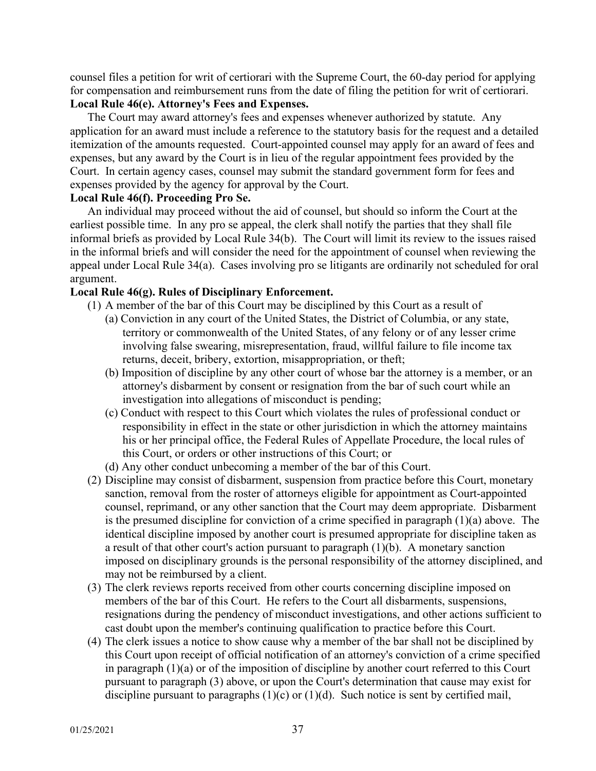counsel files a petition for writ of certiorari with the Supreme Court, the 60-day period for applying for compensation and reimbursement runs from the date of filing the petition for writ of certiorari. **Local Rule 46(e). Attorney's Fees and Expenses.**

The Court may award attorney's fees and expenses whenever authorized by statute. Any application for an award must include a reference to the statutory basis for the request and a detailed itemization of the amounts requested. Court-appointed counsel may apply for an award of fees and expenses, but any award by the Court is in lieu of the regular appointment fees provided by the Court. In certain agency cases, counsel may submit the standard government form for fees and expenses provided by the agency for approval by the Court.

### **Local Rule 46(f). Proceeding Pro Se.**

An individual may proceed without the aid of counsel, but should so inform the Court at the earliest possible time. In any pro se appeal, the clerk shall notify the parties that they shall file informal briefs as provided by Local Rule 34(b). The Court will limit its review to the issues raised in the informal briefs and will consider the need for the appointment of counsel when reviewing the appeal under Local Rule 34(a). Cases involving pro se litigants are ordinarily not scheduled for oral argument.

### **Local Rule 46(g). Rules of Disciplinary Enforcement.**

- (1) A member of the bar of this Court may be disciplined by this Court as a result of
	- (a) Conviction in any court of the United States, the District of Columbia, or any state, territory or commonwealth of the United States, of any felony or of any lesser crime involving false swearing, misrepresentation, fraud, willful failure to file income tax returns, deceit, bribery, extortion, misappropriation, or theft;
	- (b) Imposition of discipline by any other court of whose bar the attorney is a member, or an attorney's disbarment by consent or resignation from the bar of such court while an investigation into allegations of misconduct is pending;
	- (c) Conduct with respect to this Court which violates the rules of professional conduct or responsibility in effect in the state or other jurisdiction in which the attorney maintains his or her principal office, the Federal Rules of Appellate Procedure, the local rules of this Court, or orders or other instructions of this Court; or
	- (d) Any other conduct unbecoming a member of the bar of this Court.
- (2) Discipline may consist of disbarment, suspension from practice before this Court, monetary sanction, removal from the roster of attorneys eligible for appointment as Court-appointed counsel, reprimand, or any other sanction that the Court may deem appropriate. Disbarment is the presumed discipline for conviction of a crime specified in paragraph (1)(a) above. The identical discipline imposed by another court is presumed appropriate for discipline taken as a result of that other court's action pursuant to paragraph (1)(b). A monetary sanction imposed on disciplinary grounds is the personal responsibility of the attorney disciplined, and may not be reimbursed by a client.
- (3) The clerk reviews reports received from other courts concerning discipline imposed on members of the bar of this Court. He refers to the Court all disbarments, suspensions, resignations during the pendency of misconduct investigations, and other actions sufficient to cast doubt upon the member's continuing qualification to practice before this Court.
- (4) The clerk issues a notice to show cause why a member of the bar shall not be disciplined by this Court upon receipt of official notification of an attorney's conviction of a crime specified in paragraph (1)(a) or of the imposition of discipline by another court referred to this Court pursuant to paragraph (3) above, or upon the Court's determination that cause may exist for discipline pursuant to paragraphs  $(1)(c)$  or  $(1)(d)$ . Such notice is sent by certified mail,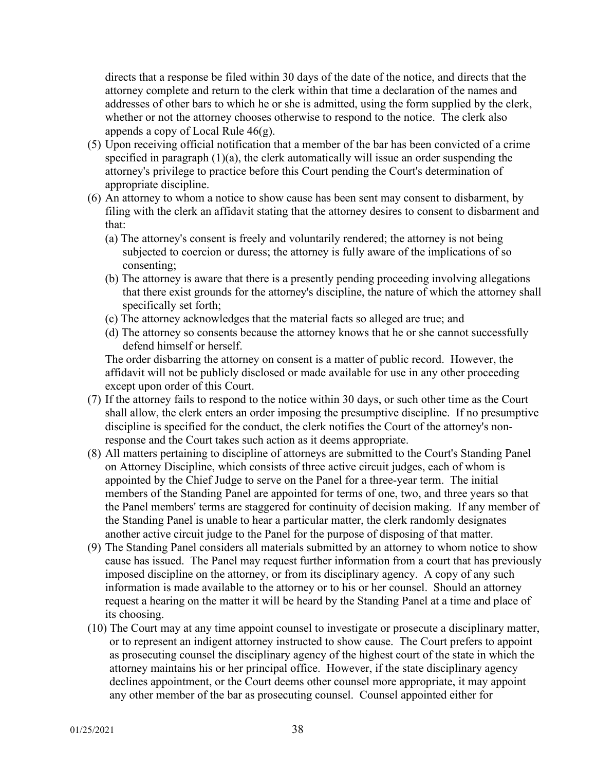directs that a response be filed within 30 days of the date of the notice, and directs that the attorney complete and return to the clerk within that time a declaration of the names and addresses of other bars to which he or she is admitted, using the form supplied by the clerk, whether or not the attorney chooses otherwise to respond to the notice. The clerk also appends a copy of Local Rule  $46(g)$ .

- (5) Upon receiving official notification that a member of the bar has been convicted of a crime specified in paragraph (1)(a), the clerk automatically will issue an order suspending the attorney's privilege to practice before this Court pending the Court's determination of appropriate discipline.
- (6) An attorney to whom a notice to show cause has been sent may consent to disbarment, by filing with the clerk an affidavit stating that the attorney desires to consent to disbarment and that:
	- (a) The attorney's consent is freely and voluntarily rendered; the attorney is not being subjected to coercion or duress; the attorney is fully aware of the implications of so consenting;
	- (b) The attorney is aware that there is a presently pending proceeding involving allegations that there exist grounds for the attorney's discipline, the nature of which the attorney shall specifically set forth;
	- (c) The attorney acknowledges that the material facts so alleged are true; and
	- (d) The attorney so consents because the attorney knows that he or she cannot successfully defend himself or herself.

The order disbarring the attorney on consent is a matter of public record. However, the affidavit will not be publicly disclosed or made available for use in any other proceeding except upon order of this Court.

- (7) If the attorney fails to respond to the notice within 30 days, or such other time as the Court shall allow, the clerk enters an order imposing the presumptive discipline. If no presumptive discipline is specified for the conduct, the clerk notifies the Court of the attorney's nonresponse and the Court takes such action as it deems appropriate.
- (8) All matters pertaining to discipline of attorneys are submitted to the Court's Standing Panel on Attorney Discipline, which consists of three active circuit judges, each of whom is appointed by the Chief Judge to serve on the Panel for a three-year term. The initial members of the Standing Panel are appointed for terms of one, two, and three years so that the Panel members' terms are staggered for continuity of decision making. If any member of the Standing Panel is unable to hear a particular matter, the clerk randomly designates another active circuit judge to the Panel for the purpose of disposing of that matter.
- (9) The Standing Panel considers all materials submitted by an attorney to whom notice to show cause has issued. The Panel may request further information from a court that has previously imposed discipline on the attorney, or from its disciplinary agency. A copy of any such information is made available to the attorney or to his or her counsel. Should an attorney request a hearing on the matter it will be heard by the Standing Panel at a time and place of its choosing.
- (10) The Court may at any time appoint counsel to investigate or prosecute a disciplinary matter, or to represent an indigent attorney instructed to show cause. The Court prefers to appoint as prosecuting counsel the disciplinary agency of the highest court of the state in which the attorney maintains his or her principal office. However, if the state disciplinary agency declines appointment, or the Court deems other counsel more appropriate, it may appoint any other member of the bar as prosecuting counsel. Counsel appointed either for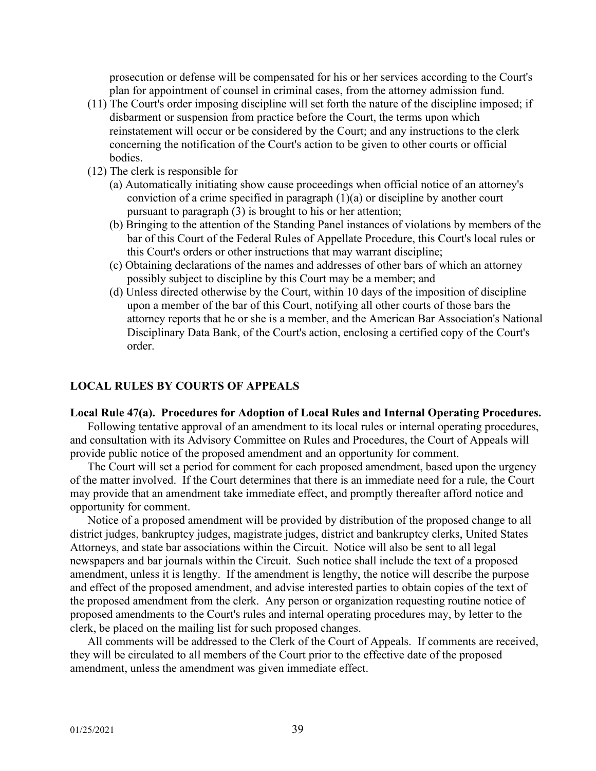prosecution or defense will be compensated for his or her services according to the Court's plan for appointment of counsel in criminal cases, from the attorney admission fund.

- (11) The Court's order imposing discipline will set forth the nature of the discipline imposed; if disbarment or suspension from practice before the Court, the terms upon which reinstatement will occur or be considered by the Court; and any instructions to the clerk concerning the notification of the Court's action to be given to other courts or official bodies.
- (12) The clerk is responsible for
	- (a) Automatically initiating show cause proceedings when official notice of an attorney's conviction of a crime specified in paragraph (1)(a) or discipline by another court pursuant to paragraph (3) is brought to his or her attention;
	- (b) Bringing to the attention of the Standing Panel instances of violations by members of the bar of this Court of the Federal Rules of Appellate Procedure, this Court's local rules or this Court's orders or other instructions that may warrant discipline;
	- (c) Obtaining declarations of the names and addresses of other bars of which an attorney possibly subject to discipline by this Court may be a member; and
	- (d) Unless directed otherwise by the Court, within 10 days of the imposition of discipline upon a member of the bar of this Court, notifying all other courts of those bars the attorney reports that he or she is a member, and the American Bar Association's National Disciplinary Data Bank, of the Court's action, enclosing a certified copy of the Court's order.

### **LOCAL RULES BY COURTS OF APPEALS**

#### **Local Rule 47(a). Procedures for Adoption of Local Rules and Internal Operating Procedures.**

Following tentative approval of an amendment to its local rules or internal operating procedures, and consultation with its Advisory Committee on Rules and Procedures, the Court of Appeals will provide public notice of the proposed amendment and an opportunity for comment.

The Court will set a period for comment for each proposed amendment, based upon the urgency of the matter involved. If the Court determines that there is an immediate need for a rule, the Court may provide that an amendment take immediate effect, and promptly thereafter afford notice and opportunity for comment.

Notice of a proposed amendment will be provided by distribution of the proposed change to all district judges, bankruptcy judges, magistrate judges, district and bankruptcy clerks, United States Attorneys, and state bar associations within the Circuit. Notice will also be sent to all legal newspapers and bar journals within the Circuit. Such notice shall include the text of a proposed amendment, unless it is lengthy. If the amendment is lengthy, the notice will describe the purpose and effect of the proposed amendment, and advise interested parties to obtain copies of the text of the proposed amendment from the clerk. Any person or organization requesting routine notice of proposed amendments to the Court's rules and internal operating procedures may, by letter to the clerk, be placed on the mailing list for such proposed changes.

All comments will be addressed to the Clerk of the Court of Appeals. If comments are received, they will be circulated to all members of the Court prior to the effective date of the proposed amendment, unless the amendment was given immediate effect.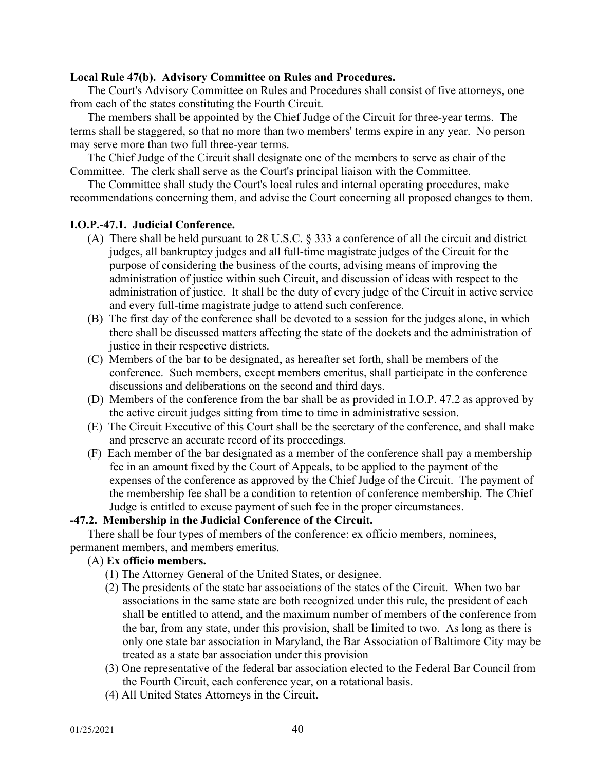#### **Local Rule 47(b). Advisory Committee on Rules and Procedures.**

The Court's Advisory Committee on Rules and Procedures shall consist of five attorneys, one from each of the states constituting the Fourth Circuit.

The members shall be appointed by the Chief Judge of the Circuit for three-year terms. The terms shall be staggered, so that no more than two members' terms expire in any year. No person may serve more than two full three-year terms.

The Chief Judge of the Circuit shall designate one of the members to serve as chair of the Committee. The clerk shall serve as the Court's principal liaison with the Committee.

The Committee shall study the Court's local rules and internal operating procedures, make recommendations concerning them, and advise the Court concerning all proposed changes to them.

### **I.O.P.-47.1. Judicial Conference.**

- (A) There shall be held pursuant to 28 U.S.C. § 333 a conference of all the circuit and district judges, all bankruptcy judges and all full-time magistrate judges of the Circuit for the purpose of considering the business of the courts, advising means of improving the administration of justice within such Circuit, and discussion of ideas with respect to the administration of justice. It shall be the duty of every judge of the Circuit in active service and every full-time magistrate judge to attend such conference.
- (B) The first day of the conference shall be devoted to a session for the judges alone, in which there shall be discussed matters affecting the state of the dockets and the administration of justice in their respective districts.
- (C) Members of the bar to be designated, as hereafter set forth, shall be members of the conference. Such members, except members emeritus, shall participate in the conference discussions and deliberations on the second and third days.
- (D) Members of the conference from the bar shall be as provided in I.O.P. 47.2 as approved by the active circuit judges sitting from time to time in administrative session.
- (E) The Circuit Executive of this Court shall be the secretary of the conference, and shall make and preserve an accurate record of its proceedings.
- (F) Each member of the bar designated as a member of the conference shall pay a membership fee in an amount fixed by the Court of Appeals, to be applied to the payment of the expenses of the conference as approved by the Chief Judge of the Circuit. The payment of the membership fee shall be a condition to retention of conference membership. The Chief Judge is entitled to excuse payment of such fee in the proper circumstances.

### **-47.2. Membership in the Judicial Conference of the Circuit.**

There shall be four types of members of the conference: ex officio members, nominees, permanent members, and members emeritus.

#### (A) **Ex officio members.**

- (1) The Attorney General of the United States, or designee.
- (2) The presidents of the state bar associations of the states of the Circuit. When two bar associations in the same state are both recognized under this rule, the president of each shall be entitled to attend, and the maximum number of members of the conference from the bar, from any state, under this provision, shall be limited to two. As long as there is only one state bar association in Maryland, the Bar Association of Baltimore City may be treated as a state bar association under this provision
- (3) One representative of the federal bar association elected to the Federal Bar Council from the Fourth Circuit, each conference year, on a rotational basis.
- (4) All United States Attorneys in the Circuit.